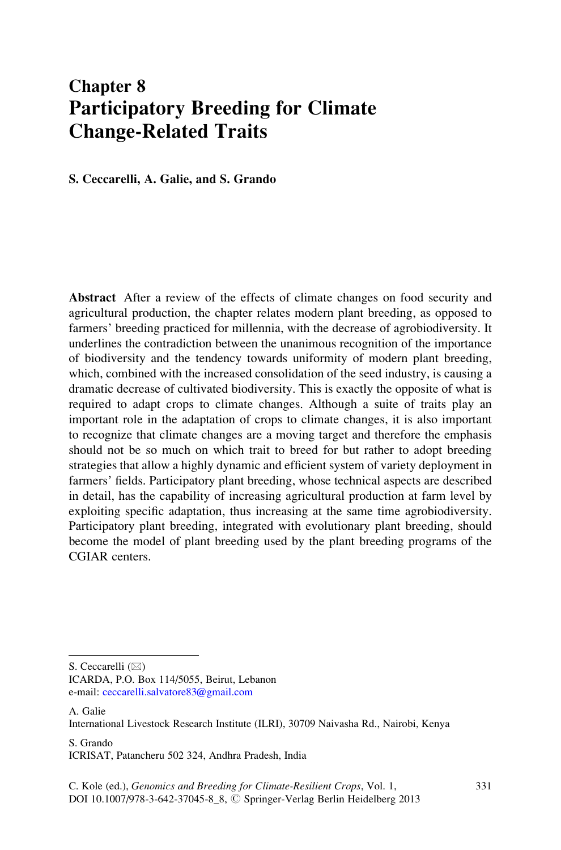# Chapter 8 Participatory Breeding for Climate Change-Related Traits

S. Ceccarelli, A. Galie, and S. Grando

Abstract After a review of the effects of climate changes on food security and agricultural production, the chapter relates modern plant breeding, as opposed to farmers' breeding practiced for millennia, with the decrease of agrobiodiversity. It underlines the contradiction between the unanimous recognition of the importance of biodiversity and the tendency towards uniformity of modern plant breeding, which, combined with the increased consolidation of the seed industry, is causing a dramatic decrease of cultivated biodiversity. This is exactly the opposite of what is required to adapt crops to climate changes. Although a suite of traits play an important role in the adaptation of crops to climate changes, it is also important to recognize that climate changes are a moving target and therefore the emphasis should not be so much on which trait to breed for but rather to adopt breeding strategies that allow a highly dynamic and efficient system of variety deployment in farmers' fields. Participatory plant breeding, whose technical aspects are described in detail, has the capability of increasing agricultural production at farm level by exploiting specific adaptation, thus increasing at the same time agrobiodiversity. Participatory plant breeding, integrated with evolutionary plant breeding, should become the model of plant breeding used by the plant breeding programs of the CGIAR centers.

S. Ceccarelli  $(\boxtimes)$ 

ICARDA, P.O. Box 114/5055, Beirut, Lebanon e-mail: [ceccarelli.salvatore83@gmail.com](mailto:ceccarelli.salvatore83@gmail.com)

A. Galie International Livestock Research Institute (ILRI), 30709 Naivasha Rd., Nairobi, Kenya

S. Grando ICRISAT, Patancheru 502 324, Andhra Pradesh, India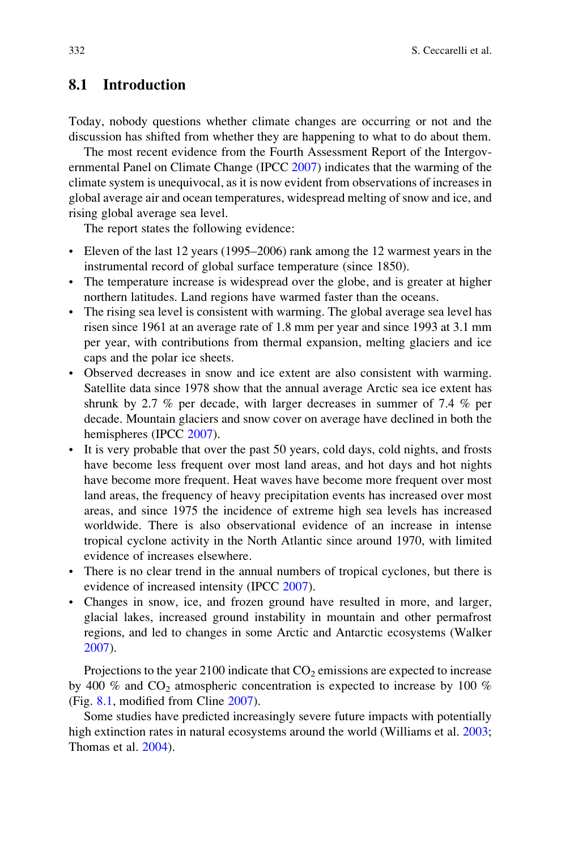# 8.1 Introduction

Today, nobody questions whether climate changes are occurring or not and the discussion has shifted from whether they are happening to what to do about them.

The most recent evidence from the Fourth Assessment Report of the Intergovernmental Panel on Climate Change (IPCC [2007\)](#page-42-0) indicates that the warming of the climate system is unequivocal, as it is now evident from observations of increases in global average air and ocean temperatures, widespread melting of snow and ice, and rising global average sea level.

The report states the following evidence:

- Eleven of the last 12 years (1995–2006) rank among the 12 warmest years in the instrumental record of global surface temperature (since 1850).
- The temperature increase is widespread over the globe, and is greater at higher northern latitudes. Land regions have warmed faster than the oceans.
- The rising sea level is consistent with warming. The global average sea level has risen since 1961 at an average rate of 1.8 mm per year and since 1993 at 3.1 mm per year, with contributions from thermal expansion, melting glaciers and ice caps and the polar ice sheets.
- Observed decreases in snow and ice extent are also consistent with warming. Satellite data since 1978 show that the annual average Arctic sea ice extent has shrunk by 2.7 % per decade, with larger decreases in summer of 7.4 % per decade. Mountain glaciers and snow cover on average have declined in both the hemispheres (IPCC [2007\)](#page-42-0).
- It is very probable that over the past 50 years, cold days, cold nights, and frosts have become less frequent over most land areas, and hot days and hot nights have become more frequent. Heat waves have become more frequent over most land areas, the frequency of heavy precipitation events has increased over most areas, and since 1975 the incidence of extreme high sea levels has increased worldwide. There is also observational evidence of an increase in intense tropical cyclone activity in the North Atlantic since around 1970, with limited evidence of increases elsewhere.
- There is no clear trend in the annual numbers of tropical cyclones, but there is evidence of increased intensity (IPCC [2007\)](#page-42-0).
- Changes in snow, ice, and frozen ground have resulted in more, and larger, glacial lakes, increased ground instability in mountain and other permafrost regions, and led to changes in some Arctic and Antarctic ecosystems (Walker [2007\)](#page-45-0).

Projections to the year 2100 indicate that  $CO<sub>2</sub>$  emissions are expected to increase by 400 % and  $CO_2$  atmospheric concentration is expected to increase by 100 % (Fig. [8.1](#page-2-0), modified from Cline [2007\)](#page-41-0).

Some studies have predicted increasingly severe future impacts with potentially high extinction rates in natural ecosystems around the world (Williams et al. [2003;](#page-45-0) Thomas et al. [2004](#page-45-0)).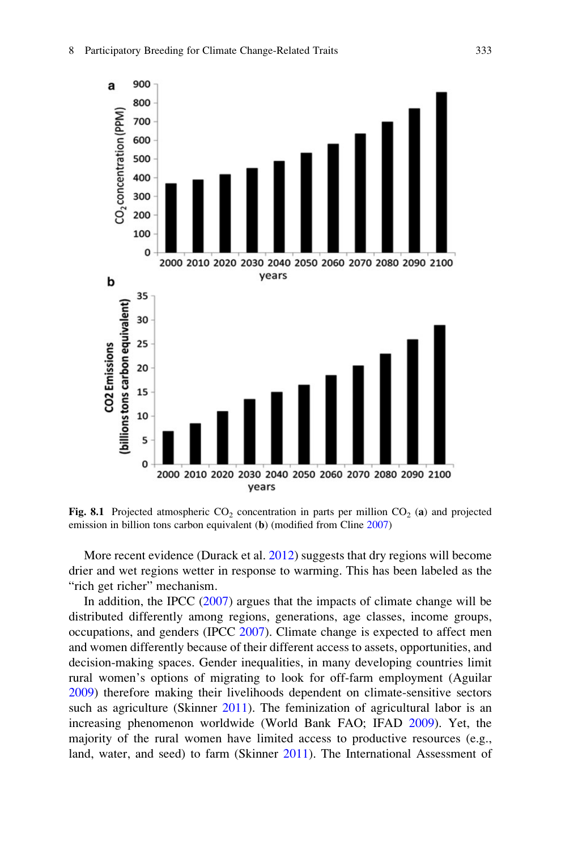<span id="page-2-0"></span>

Fig. 8.1 Projected atmospheric  $CO<sub>2</sub>$  concentration in parts per million  $CO<sub>2</sub>$  (a) and projected emission in billion tons carbon equivalent (b) (modified from Cline [2007](#page-41-0))

More recent evidence (Durack et al. [2012\)](#page-41-0) suggests that dry regions will become drier and wet regions wetter in response to warming. This has been labeled as the "rich get richer" mechanism.

In addition, the IPCC [\(2007](#page-42-0)) argues that the impacts of climate change will be distributed differently among regions, generations, age classes, income groups, occupations, and genders (IPCC [2007\)](#page-42-0). Climate change is expected to affect men and women differently because of their different access to assets, opportunities, and decision-making spaces. Gender inequalities, in many developing countries limit rural women's options of migrating to look for off-farm employment (Aguilar [2009\)](#page-39-0) therefore making their livelihoods dependent on climate-sensitive sectors such as agriculture (Skinner [2011](#page-44-0)). The feminization of agricultural labor is an increasing phenomenon worldwide (World Bank FAO; IFAD [2009](#page-45-0)). Yet, the majority of the rural women have limited access to productive resources (e.g., land, water, and seed) to farm (Skinner [2011](#page-44-0)). The International Assessment of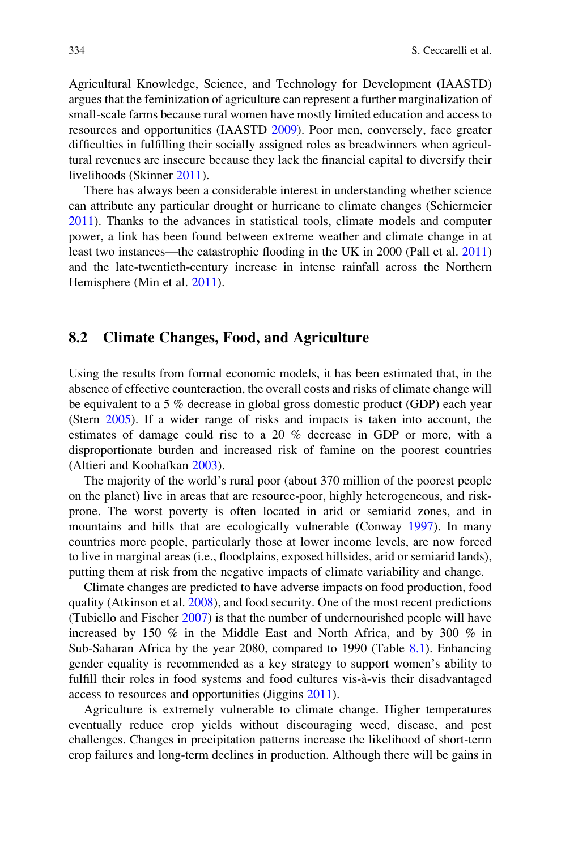Agricultural Knowledge, Science, and Technology for Development (IAASTD) argues that the feminization of agriculture can represent a further marginalization of small-scale farms because rural women have mostly limited education and access to resources and opportunities (IAASTD [2009\)](#page-42-0). Poor men, conversely, face greater difficulties in fulfilling their socially assigned roles as breadwinners when agricultural revenues are insecure because they lack the financial capital to diversify their livelihoods (Skinner [2011](#page-44-0)).

There has always been a considerable interest in understanding whether science can attribute any particular drought or hurricane to climate changes (Schiermeier [2011\)](#page-44-0). Thanks to the advances in statistical tools, climate models and computer power, a link has been found between extreme weather and climate change in at least two instances—the catastrophic flooding in the UK in 2000 (Pall et al. [2011](#page-43-0)) and the late-twentieth-century increase in intense rainfall across the Northern Hemisphere (Min et al. [2011](#page-43-0)).

#### 8.2 Climate Changes, Food, and Agriculture

Using the results from formal economic models, it has been estimated that, in the absence of effective counteraction, the overall costs and risks of climate change will be equivalent to a 5 % decrease in global gross domestic product (GDP) each year (Stern [2005\)](#page-45-0). If a wider range of risks and impacts is taken into account, the estimates of damage could rise to a 20 % decrease in GDP or more, with a disproportionate burden and increased risk of famine on the poorest countries (Altieri and Koohafkan [2003\)](#page-39-0).

The majority of the world's rural poor (about 370 million of the poorest people on the planet) live in areas that are resource-poor, highly heterogeneous, and riskprone. The worst poverty is often located in arid or semiarid zones, and in mountains and hills that are ecologically vulnerable (Conway [1997\)](#page-41-0). In many countries more people, particularly those at lower income levels, are now forced to live in marginal areas (i.e., floodplains, exposed hillsides, arid or semiarid lands), putting them at risk from the negative impacts of climate variability and change.

Climate changes are predicted to have adverse impacts on food production, food quality (Atkinson et al. [2008](#page-39-0)), and food security. One of the most recent predictions (Tubiello and Fischer [2007\)](#page-45-0) is that the number of undernourished people will have increased by 150 % in the Middle East and North Africa, and by 300 % in Sub-Saharan Africa by the year 2080, compared to 1990 (Table [8.1](#page-4-0)). Enhancing gender equality is recommended as a key strategy to support women's ability to fulfill their roles in food systems and food cultures vis-à-vis their disadvantaged access to resources and opportunities (Jiggins [2011\)](#page-42-0).

Agriculture is extremely vulnerable to climate change. Higher temperatures eventually reduce crop yields without discouraging weed, disease, and pest challenges. Changes in precipitation patterns increase the likelihood of short-term crop failures and long-term declines in production. Although there will be gains in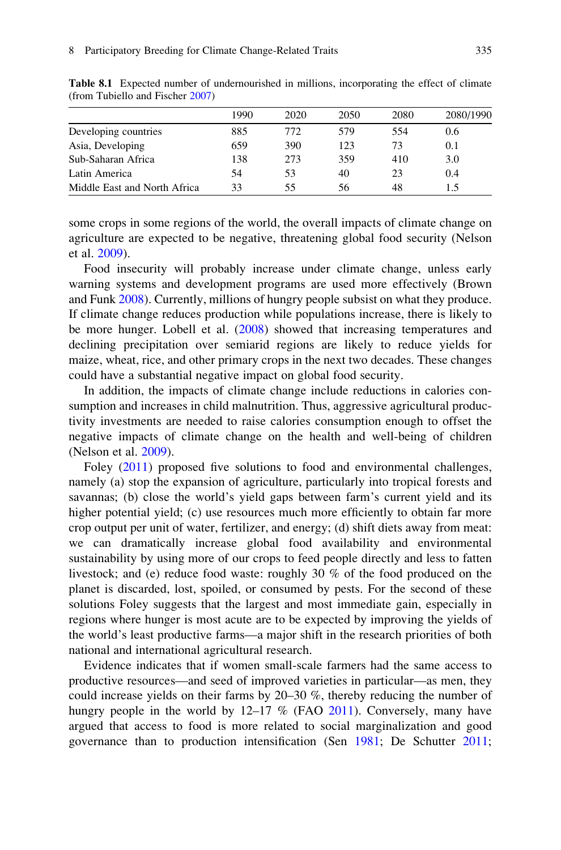|                              | 1990 | 2020 | 2050 | 2080 | 2080/1990 |
|------------------------------|------|------|------|------|-----------|
| Developing countries         | 885  | 772  | 579  | 554  | 0.6       |
| Asia, Developing             | 659  | 390  | 123  | 73   | 0.1       |
| Sub-Saharan Africa           | 138  | 273  | 359  | 410  | 3.0       |
| Latin America                | 54   | 53   | 40   | 23   | 0.4       |
| Middle East and North Africa | 33   | 55   | 56   | 48   | 1.5       |

<span id="page-4-0"></span>Table 8.1 Expected number of undernourished in millions, incorporating the effect of climate (from Tubiello and Fischer [2007\)](#page-45-0)

some crops in some regions of the world, the overall impacts of climate change on agriculture are expected to be negative, threatening global food security (Nelson et al. [2009](#page-43-0)).

Food insecurity will probably increase under climate change, unless early warning systems and development programs are used more effectively (Brown and Funk [2008\)](#page-39-0). Currently, millions of hungry people subsist on what they produce. If climate change reduces production while populations increase, there is likely to be more hunger. Lobell et al. [\(2008](#page-43-0)) showed that increasing temperatures and declining precipitation over semiarid regions are likely to reduce yields for maize, wheat, rice, and other primary crops in the next two decades. These changes could have a substantial negative impact on global food security.

In addition, the impacts of climate change include reductions in calories consumption and increases in child malnutrition. Thus, aggressive agricultural productivity investments are needed to raise calories consumption enough to offset the negative impacts of climate change on the health and well-being of children (Nelson et al. [2009\)](#page-43-0).

Foley [\(2011](#page-41-0)) proposed five solutions to food and environmental challenges, namely (a) stop the expansion of agriculture, particularly into tropical forests and savannas; (b) close the world's yield gaps between farm's current yield and its higher potential yield; (c) use resources much more efficiently to obtain far more crop output per unit of water, fertilizer, and energy; (d) shift diets away from meat: we can dramatically increase global food availability and environmental sustainability by using more of our crops to feed people directly and less to fatten livestock; and (e) reduce food waste: roughly 30 % of the food produced on the planet is discarded, lost, spoiled, or consumed by pests. For the second of these solutions Foley suggests that the largest and most immediate gain, especially in regions where hunger is most acute are to be expected by improving the yields of the world's least productive farms—a major shift in the research priorities of both national and international agricultural research.

Evidence indicates that if women small-scale farmers had the same access to productive resources—and seed of improved varieties in particular—as men, they could increase yields on their farms by 20–30 %, thereby reducing the number of hungry people in the world by 12–17 % (FAO [2011\)](#page-41-0). Conversely, many have argued that access to food is more related to social marginalization and good governance than to production intensification (Sen [1981;](#page-44-0) De Schutter [2011;](#page-41-0)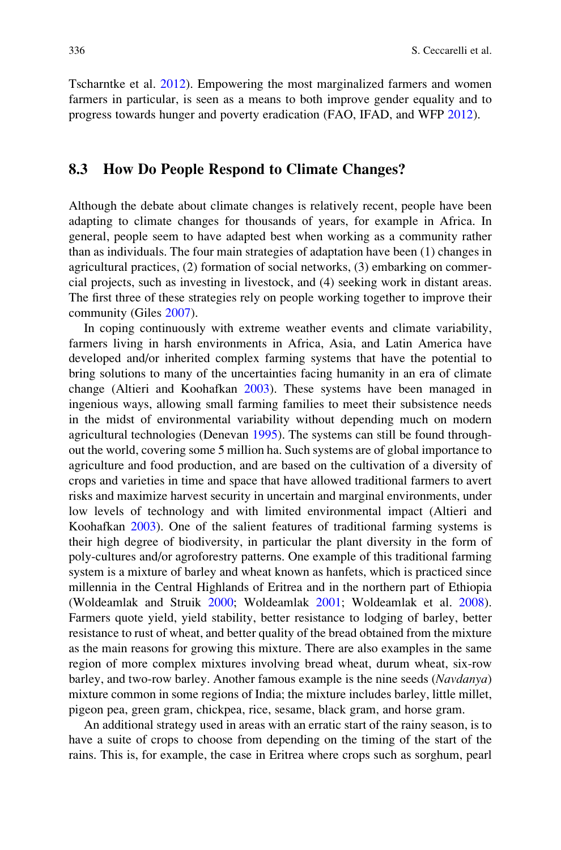Tscharntke et al. [2012\)](#page-45-0). Empowering the most marginalized farmers and women farmers in particular, is seen as a means to both improve gender equality and to progress towards hunger and poverty eradication (FAO, IFAD, and WFP [2012\)](#page-41-0).

#### 8.3 How Do People Respond to Climate Changes?

Although the debate about climate changes is relatively recent, people have been adapting to climate changes for thousands of years, for example in Africa. In general, people seem to have adapted best when working as a community rather than as individuals. The four main strategies of adaptation have been (1) changes in agricultural practices, (2) formation of social networks, (3) embarking on commercial projects, such as investing in livestock, and (4) seeking work in distant areas. The first three of these strategies rely on people working together to improve their community (Giles [2007](#page-42-0)).

In coping continuously with extreme weather events and climate variability, farmers living in harsh environments in Africa, Asia, and Latin America have developed and/or inherited complex farming systems that have the potential to bring solutions to many of the uncertainties facing humanity in an era of climate change (Altieri and Koohafkan [2003](#page-39-0)). These systems have been managed in ingenious ways, allowing small farming families to meet their subsistence needs in the midst of environmental variability without depending much on modern agricultural technologies (Denevan [1995\)](#page-41-0). The systems can still be found throughout the world, covering some 5 million ha. Such systems are of global importance to agriculture and food production, and are based on the cultivation of a diversity of crops and varieties in time and space that have allowed traditional farmers to avert risks and maximize harvest security in uncertain and marginal environments, under low levels of technology and with limited environmental impact (Altieri and Koohafkan [2003](#page-39-0)). One of the salient features of traditional farming systems is their high degree of biodiversity, in particular the plant diversity in the form of poly-cultures and/or agroforestry patterns. One example of this traditional farming system is a mixture of barley and wheat known as hanfets, which is practiced since millennia in the Central Highlands of Eritrea and in the northern part of Ethiopia (Woldeamlak and Struik [2000](#page-45-0); Woldeamlak [2001;](#page-45-0) Woldeamlak et al. [2008\)](#page-45-0). Farmers quote yield, yield stability, better resistance to lodging of barley, better resistance to rust of wheat, and better quality of the bread obtained from the mixture as the main reasons for growing this mixture. There are also examples in the same region of more complex mixtures involving bread wheat, durum wheat, six-row barley, and two-row barley. Another famous example is the nine seeds (Navdanya) mixture common in some regions of India; the mixture includes barley, little millet, pigeon pea, green gram, chickpea, rice, sesame, black gram, and horse gram.

An additional strategy used in areas with an erratic start of the rainy season, is to have a suite of crops to choose from depending on the timing of the start of the rains. This is, for example, the case in Eritrea where crops such as sorghum, pearl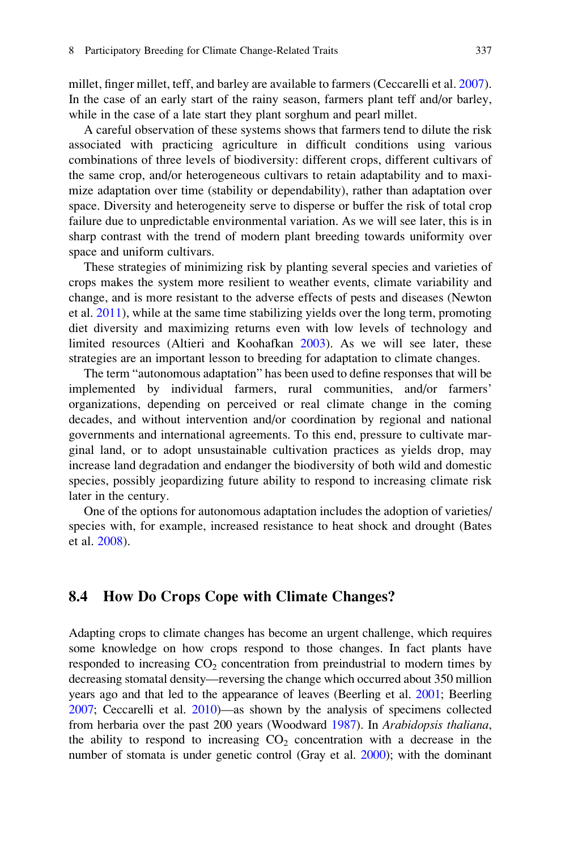millet, finger millet, teff, and barley are available to farmers (Ceccarelli et al. [2007\)](#page-40-0). In the case of an early start of the rainy season, farmers plant teff and/or barley, while in the case of a late start they plant sorghum and pearl millet.

A careful observation of these systems shows that farmers tend to dilute the risk associated with practicing agriculture in difficult conditions using various combinations of three levels of biodiversity: different crops, different cultivars of the same crop, and/or heterogeneous cultivars to retain adaptability and to maximize adaptation over time (stability or dependability), rather than adaptation over space. Diversity and heterogeneity serve to disperse or buffer the risk of total crop failure due to unpredictable environmental variation. As we will see later, this is in sharp contrast with the trend of modern plant breeding towards uniformity over space and uniform cultivars.

These strategies of minimizing risk by planting several species and varieties of crops makes the system more resilient to weather events, climate variability and change, and is more resistant to the adverse effects of pests and diseases (Newton et al. [2011\)](#page-43-0), while at the same time stabilizing yields over the long term, promoting diet diversity and maximizing returns even with low levels of technology and limited resources (Altieri and Koohafkan [2003](#page-39-0)). As we will see later, these strategies are an important lesson to breeding for adaptation to climate changes.

The term "autonomous adaptation" has been used to define responses that will be implemented by individual farmers, rural communities, and/or farmers' organizations, depending on perceived or real climate change in the coming decades, and without intervention and/or coordination by regional and national governments and international agreements. To this end, pressure to cultivate marginal land, or to adopt unsustainable cultivation practices as yields drop, may increase land degradation and endanger the biodiversity of both wild and domestic species, possibly jeopardizing future ability to respond to increasing climate risk later in the century.

One of the options for autonomous adaptation includes the adoption of varieties/ species with, for example, increased resistance to heat shock and drought (Bates et al. [2008](#page-39-0)).

#### 8.4 How Do Crops Cope with Climate Changes?

Adapting crops to climate changes has become an urgent challenge, which requires some knowledge on how crops respond to those changes. In fact plants have responded to increasing  $CO<sub>2</sub>$  concentration from preindustrial to modern times by decreasing stomatal density—reversing the change which occurred about 350 million years ago and that led to the appearance of leaves (Beerling et al. [2001](#page-39-0); Beerling [2007](#page-39-0); Ceccarelli et al. [2010\)](#page-40-0)—as shown by the analysis of specimens collected from herbaria over the past 200 years (Woodward [1987](#page-45-0)). In Arabidopsis thaliana, the ability to respond to increasing  $CO<sub>2</sub>$  concentration with a decrease in the number of stomata is under genetic control (Gray et al. [2000](#page-42-0)); with the dominant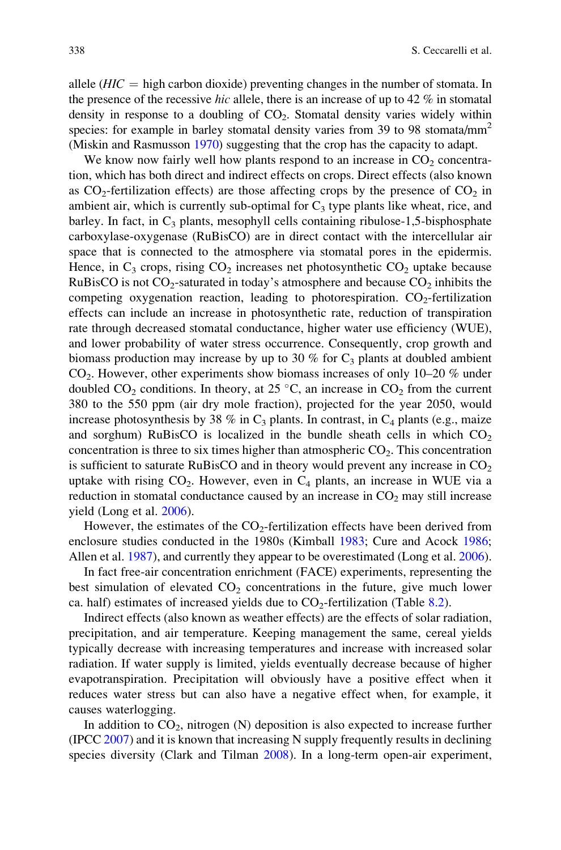allele ( $HIC =$  high carbon dioxide) preventing changes in the number of stomata. In the presence of the recessive hic allele, there is an increase of up to 42 % in stomatal density in response to a doubling of  $CO<sub>2</sub>$ . Stomatal density varies widely within species: for example in barley stomatal density varies from 39 to 98 stomata/mm<sup>2</sup> (Miskin and Rasmusson [1970](#page-43-0)) suggesting that the crop has the capacity to adapt.

We know now fairly well how plants respond to an increase in  $CO<sub>2</sub>$  concentration, which has both direct and indirect effects on crops. Direct effects (also known as  $CO<sub>2</sub>$ -fertilization effects) are those affecting crops by the presence of  $CO<sub>2</sub>$  in ambient air, which is currently sub-optimal for  $C_3$  type plants like wheat, rice, and barley. In fact, in  $C_3$  plants, mesophyll cells containing ribulose-1,5-bisphosphate carboxylase-oxygenase (RuBisCO) are in direct contact with the intercellular air space that is connected to the atmosphere via stomatal pores in the epidermis. Hence, in  $C_3$  crops, rising  $CO_2$  increases net photosynthetic  $CO_2$  uptake because RuBisCO is not  $CO_2$ -saturated in today's atmosphere and because  $CO_2$  inhibits the competing oxygenation reaction, leading to photorespiration.  $CO<sub>2</sub>$ -fertilization effects can include an increase in photosynthetic rate, reduction of transpiration rate through decreased stomatal conductance, higher water use efficiency (WUE), and lower probability of water stress occurrence. Consequently, crop growth and biomass production may increase by up to 30 % for  $C_3$  plants at doubled ambient  $CO<sub>2</sub>$ . However, other experiments show biomass increases of only 10–20 % under doubled  $CO_2$  conditions. In theory, at 25 °C, an increase in  $CO_2$  from the current 380 to the 550 ppm (air dry mole fraction), projected for the year 2050, would increase photosynthesis by 38 % in  $C_3$  plants. In contrast, in  $C_4$  plants (e.g., maize and sorghum) RuBisCO is localized in the bundle sheath cells in which  $CO<sub>2</sub>$ concentration is three to six times higher than atmospheric  $CO<sub>2</sub>$ . This concentration is sufficient to saturate RuBisCO and in theory would prevent any increase in  $CO<sub>2</sub>$ uptake with rising  $CO<sub>2</sub>$ . However, even in  $C<sub>4</sub>$  plants, an increase in WUE via a reduction in stomatal conductance caused by an increase in  $CO<sub>2</sub>$  may still increase yield (Long et al. [2006\)](#page-43-0).

However, the estimates of the  $CO<sub>2</sub>$ -fertilization effects have been derived from enclosure studies conducted in the 1980s (Kimball [1983;](#page-42-0) Cure and Acock [1986;](#page-41-0) Allen et al. [1987\)](#page-39-0), and currently they appear to be overestimated (Long et al. [2006\)](#page-43-0).

In fact free-air concentration enrichment (FACE) experiments, representing the best simulation of elevated  $CO<sub>2</sub>$  concentrations in the future, give much lower ca. half) estimates of increased yields due to  $CO_2$ -fertilization (Table [8.2](#page-8-0)).

Indirect effects (also known as weather effects) are the effects of solar radiation, precipitation, and air temperature. Keeping management the same, cereal yields typically decrease with increasing temperatures and increase with increased solar radiation. If water supply is limited, yields eventually decrease because of higher evapotranspiration. Precipitation will obviously have a positive effect when it reduces water stress but can also have a negative effect when, for example, it causes waterlogging.

In addition to  $CO<sub>2</sub>$ , nitrogen (N) deposition is also expected to increase further (IPCC [2007](#page-42-0)) and it is known that increasing N supply frequently results in declining species diversity (Clark and Tilman [2008\)](#page-41-0). In a long-term open-air experiment,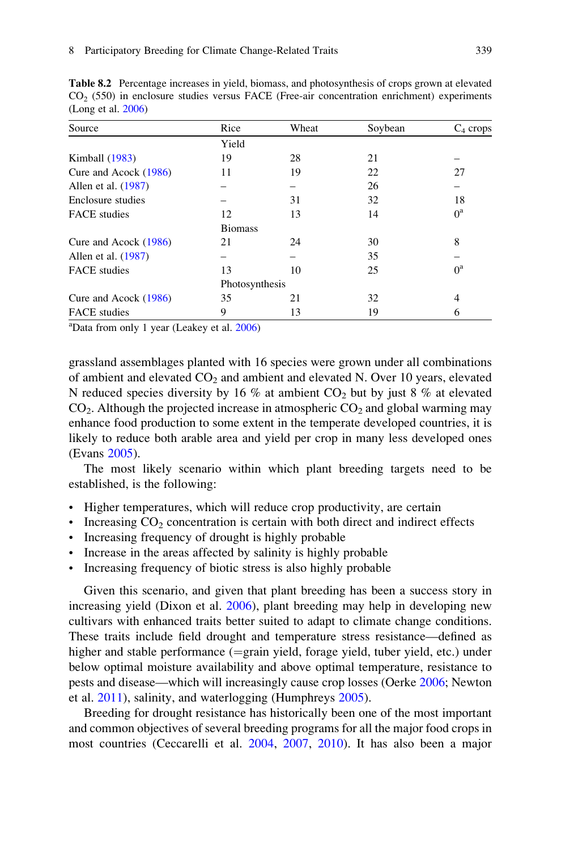| Source                | Rice           | Wheat | Soybean | $C_4$ crops |  |
|-----------------------|----------------|-------|---------|-------------|--|
|                       | Yield          |       |         |             |  |
| Kimball $(1983)$      | 19             | 28    | 21      |             |  |
| Cure and Acock (1986) | 11             | 19    | 22      | 27          |  |
| Allen et al. (1987)   |                |       | 26      |             |  |
| Enclosure studies     |                | 31    | 32      | 18          |  |
| <b>FACE</b> studies   | 12             | 13    | 14      | $0^{\rm a}$ |  |
|                       | <b>Biomass</b> |       |         |             |  |
| Cure and Acock (1986) | 21             | 24    | 30      | 8           |  |
| Allen et al. (1987)   |                |       | 35      |             |  |
| <b>FACE</b> studies   | 13             | 10    | 25      | $0^a$       |  |
|                       | Photosynthesis |       |         |             |  |
| Cure and Acock (1986) | 35             | 21    | 32      | 4           |  |
| <b>FACE</b> studies   | 9              | 13    | 19      | 6           |  |

<span id="page-8-0"></span>Table 8.2 Percentage increases in yield, biomass, and photosynthesis of crops grown at elevated CO2 (550) in enclosure studies versus FACE (Free-air concentration enrichment) experiments (Long et al. [2006](#page-43-0))

a Data from only 1 year (Leakey et al. [2006](#page-43-0))

grassland assemblages planted with 16 species were grown under all combinations of ambient and elevated  $CO<sub>2</sub>$  and ambient and elevated N. Over 10 years, elevated N reduced species diversity by 16 % at ambient  $CO<sub>2</sub>$  but by just 8 % at elevated  $CO<sub>2</sub>$ . Although the projected increase in atmospheric  $CO<sub>2</sub>$  and global warming may enhance food production to some extent in the temperate developed countries, it is likely to reduce both arable area and yield per crop in many less developed ones (Evans [2005](#page-41-0)).

The most likely scenario within which plant breeding targets need to be established, is the following:

- Higher temperatures, which will reduce crop productivity, are certain
- Increasing  $CO<sub>2</sub>$  concentration is certain with both direct and indirect effects
- Increasing frequency of drought is highly probable
- Increase in the areas affected by salinity is highly probable
- Increasing frequency of biotic stress is also highly probable

Given this scenario, and given that plant breeding has been a success story in increasing yield (Dixon et al. [2006](#page-41-0)), plant breeding may help in developing new cultivars with enhanced traits better suited to adapt to climate change conditions. These traits include field drought and temperature stress resistance—defined as higher and stable performance  $(=\pi)$  yield, forage yield, tuber yield, etc.) under below optimal moisture availability and above optimal temperature, resistance to pests and disease—which will increasingly cause crop losses (Oerke [2006;](#page-43-0) Newton et al. [2011](#page-43-0)), salinity, and waterlogging (Humphreys [2005](#page-42-0)).

Breeding for drought resistance has historically been one of the most important and common objectives of several breeding programs for all the major food crops in most countries (Ceccarelli et al. [2004,](#page-40-0) [2007,](#page-40-0) [2010](#page-40-0)). It has also been a major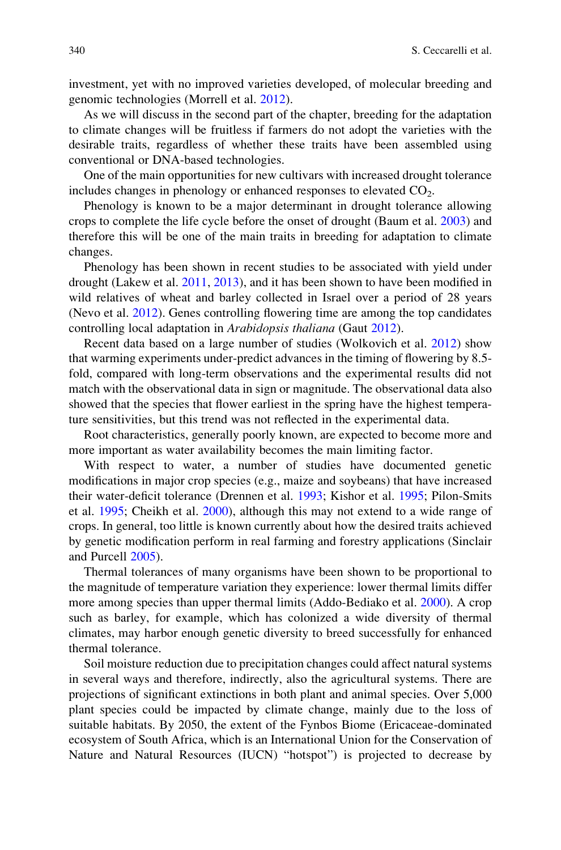investment, yet with no improved varieties developed, of molecular breeding and genomic technologies (Morrell et al. [2012\)](#page-43-0).

As we will discuss in the second part of the chapter, breeding for the adaptation to climate changes will be fruitless if farmers do not adopt the varieties with the desirable traits, regardless of whether these traits have been assembled using conventional or DNA-based technologies.

One of the main opportunities for new cultivars with increased drought tolerance includes changes in phenology or enhanced responses to elevated  $CO<sub>2</sub>$ .

Phenology is known to be a major determinant in drought tolerance allowing crops to complete the life cycle before the onset of drought (Baum et al. [2003](#page-39-0)) and therefore this will be one of the main traits in breeding for adaptation to climate changes.

Phenology has been shown in recent studies to be associated with yield under drought (Lakew et al. [2011](#page-43-0), [2013](#page-43-0)), and it has been shown to have been modified in wild relatives of wheat and barley collected in Israel over a period of 28 years (Nevo et al. [2012\)](#page-43-0). Genes controlling flowering time are among the top candidates controlling local adaptation in Arabidopsis thaliana (Gaut [2012\)](#page-42-0).

Recent data based on a large number of studies (Wolkovich et al. [2012\)](#page-45-0) show that warming experiments under-predict advances in the timing of flowering by 8.5 fold, compared with long-term observations and the experimental results did not match with the observational data in sign or magnitude. The observational data also showed that the species that flower earliest in the spring have the highest temperature sensitivities, but this trend was not reflected in the experimental data.

Root characteristics, generally poorly known, are expected to become more and more important as water availability becomes the main limiting factor.

With respect to water, a number of studies have documented genetic modifications in major crop species (e.g., maize and soybeans) that have increased their water-deficit tolerance (Drennen et al. [1993](#page-41-0); Kishor et al. [1995](#page-43-0); Pilon-Smits et al. [1995](#page-43-0); Cheikh et al. [2000\)](#page-40-0), although this may not extend to a wide range of crops. In general, too little is known currently about how the desired traits achieved by genetic modification perform in real farming and forestry applications (Sinclair and Purcell [2005](#page-44-0)).

Thermal tolerances of many organisms have been shown to be proportional to the magnitude of temperature variation they experience: lower thermal limits differ more among species than upper thermal limits (Addo-Bediako et al. [2000\)](#page-39-0). A crop such as barley, for example, which has colonized a wide diversity of thermal climates, may harbor enough genetic diversity to breed successfully for enhanced thermal tolerance.

Soil moisture reduction due to precipitation changes could affect natural systems in several ways and therefore, indirectly, also the agricultural systems. There are projections of significant extinctions in both plant and animal species. Over 5,000 plant species could be impacted by climate change, mainly due to the loss of suitable habitats. By 2050, the extent of the Fynbos Biome (Ericaceae-dominated ecosystem of South Africa, which is an International Union for the Conservation of Nature and Natural Resources (IUCN) "hotspot") is projected to decrease by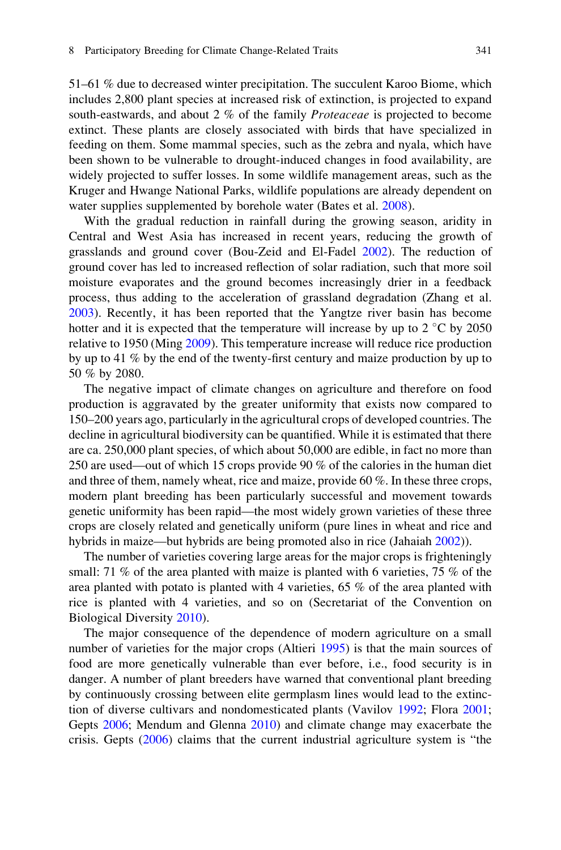51–61 % due to decreased winter precipitation. The succulent Karoo Biome, which includes 2,800 plant species at increased risk of extinction, is projected to expand south-eastwards, and about 2 % of the family Proteaceae is projected to become extinct. These plants are closely associated with birds that have specialized in feeding on them. Some mammal species, such as the zebra and nyala, which have been shown to be vulnerable to drought-induced changes in food availability, are widely projected to suffer losses. In some wildlife management areas, such as the Kruger and Hwange National Parks, wildlife populations are already dependent on water supplies supplemented by borehole water (Bates et al. [2008](#page-39-0)).

With the gradual reduction in rainfall during the growing season, aridity in Central and West Asia has increased in recent years, reducing the growth of grasslands and ground cover (Bou-Zeid and El-Fadel [2002\)](#page-39-0). The reduction of ground cover has led to increased reflection of solar radiation, such that more soil moisture evaporates and the ground becomes increasingly drier in a feedback process, thus adding to the acceleration of grassland degradation (Zhang et al. [2003\)](#page-45-0). Recently, it has been reported that the Yangtze river basin has become hotter and it is expected that the temperature will increase by up to 2  $\rm{^{\circ}C}$  by 2050 relative to 1950 (Ming [2009](#page-43-0)). This temperature increase will reduce rice production by up to 41 % by the end of the twenty-first century and maize production by up to 50 % by 2080.

The negative impact of climate changes on agriculture and therefore on food production is aggravated by the greater uniformity that exists now compared to 150–200 years ago, particularly in the agricultural crops of developed countries. The decline in agricultural biodiversity can be quantified. While it is estimated that there are ca. 250,000 plant species, of which about 50,000 are edible, in fact no more than 250 are used—out of which 15 crops provide 90 % of the calories in the human diet and three of them, namely wheat, rice and maize, provide 60 %. In these three crops, modern plant breeding has been particularly successful and movement towards genetic uniformity has been rapid—the most widely grown varieties of these three crops are closely related and genetically uniform (pure lines in wheat and rice and hybrids in maize—but hybrids are being promoted also in rice (Jahaiah [2002\)](#page-42-0)).

The number of varieties covering large areas for the major crops is frighteningly small: 71 % of the area planted with maize is planted with 6 varieties, 75 % of the area planted with potato is planted with 4 varieties, 65 % of the area planted with rice is planted with 4 varieties, and so on (Secretariat of the Convention on Biological Diversity [2010](#page-44-0)).

The major consequence of the dependence of modern agriculture on a small number of varieties for the major crops (Altieri [1995\)](#page-39-0) is that the main sources of food are more genetically vulnerable than ever before, i.e., food security is in danger. A number of plant breeders have warned that conventional plant breeding by continuously crossing between elite germplasm lines would lead to the extinction of diverse cultivars and nondomesticated plants (Vavilov [1992;](#page-45-0) Flora [2001;](#page-41-0) Gepts [2006;](#page-42-0) Mendum and Glenna [2010\)](#page-43-0) and climate change may exacerbate the crisis. Gepts ([2006\)](#page-42-0) claims that the current industrial agriculture system is "the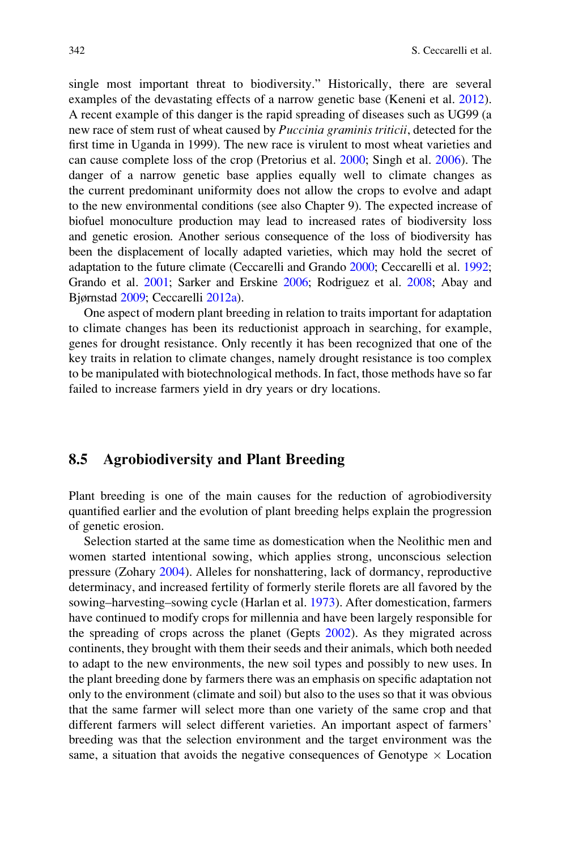single most important threat to biodiversity." Historically, there are several examples of the devastating effects of a narrow genetic base (Keneni et al. [2012\)](#page-42-0). A recent example of this danger is the rapid spreading of diseases such as UG99 (a new race of stem rust of wheat caused by Puccinia graminis triticii, detected for the first time in Uganda in 1999). The new race is virulent to most wheat varieties and can cause complete loss of the crop (Pretorius et al. [2000](#page-44-0); Singh et al. [2006](#page-44-0)). The danger of a narrow genetic base applies equally well to climate changes as the current predominant uniformity does not allow the crops to evolve and adapt to the new environmental conditions (see also Chapter 9). The expected increase of biofuel monoculture production may lead to increased rates of biodiversity loss and genetic erosion. Another serious consequence of the loss of biodiversity has been the displacement of locally adapted varieties, which may hold the secret of adaptation to the future climate (Ceccarelli and Grando [2000](#page-40-0); Ceccarelli et al. [1992;](#page-40-0) Grando et al. [2001](#page-42-0); Sarker and Erskine [2006;](#page-44-0) Rodriguez et al. [2008;](#page-44-0) Abay and Bjørnstad [2009;](#page-39-0) Ceccarelli [2012a\)](#page-40-0).

One aspect of modern plant breeding in relation to traits important for adaptation to climate changes has been its reductionist approach in searching, for example, genes for drought resistance. Only recently it has been recognized that one of the key traits in relation to climate changes, namely drought resistance is too complex to be manipulated with biotechnological methods. In fact, those methods have so far failed to increase farmers yield in dry years or dry locations.

#### 8.5 Agrobiodiversity and Plant Breeding

Plant breeding is one of the main causes for the reduction of agrobiodiversity quantified earlier and the evolution of plant breeding helps explain the progression of genetic erosion.

Selection started at the same time as domestication when the Neolithic men and women started intentional sowing, which applies strong, unconscious selection pressure (Zohary [2004\)](#page-45-0). Alleles for nonshattering, lack of dormancy, reproductive determinacy, and increased fertility of formerly sterile florets are all favored by the sowing–harvesting–sowing cycle (Harlan et al. [1973\)](#page-42-0). After domestication, farmers have continued to modify crops for millennia and have been largely responsible for the spreading of crops across the planet (Gepts [2002\)](#page-42-0). As they migrated across continents, they brought with them their seeds and their animals, which both needed to adapt to the new environments, the new soil types and possibly to new uses. In the plant breeding done by farmers there was an emphasis on specific adaptation not only to the environment (climate and soil) but also to the uses so that it was obvious that the same farmer will select more than one variety of the same crop and that different farmers will select different varieties. An important aspect of farmers' breeding was that the selection environment and the target environment was the same, a situation that avoids the negative consequences of Genotype  $\times$  Location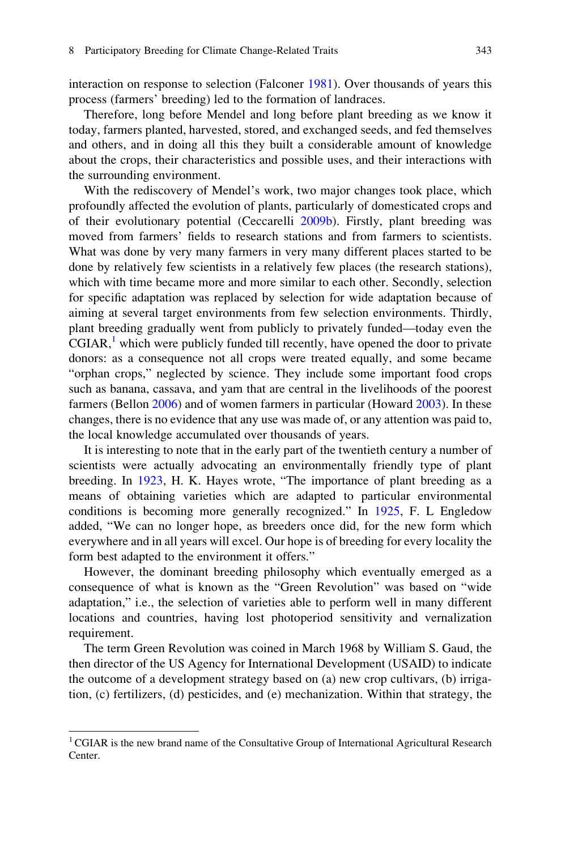interaction on response to selection (Falconer [1981](#page-41-0)). Over thousands of years this process (farmers' breeding) led to the formation of landraces.

Therefore, long before Mendel and long before plant breeding as we know it today, farmers planted, harvested, stored, and exchanged seeds, and fed themselves and others, and in doing all this they built a considerable amount of knowledge about the crops, their characteristics and possible uses, and their interactions with the surrounding environment.

With the rediscovery of Mendel's work, two major changes took place, which profoundly affected the evolution of plants, particularly of domesticated crops and of their evolutionary potential (Ceccarelli [2009b](#page-39-0)). Firstly, plant breeding was moved from farmers' fields to research stations and from farmers to scientists. What was done by very many farmers in very many different places started to be done by relatively few scientists in a relatively few places (the research stations), which with time became more and more similar to each other. Secondly, selection for specific adaptation was replaced by selection for wide adaptation because of aiming at several target environments from few selection environments. Thirdly, plant breeding gradually went from publicly to privately funded—today even the  $CGIAR<sub>1</sub><sup>1</sup>$  which were publicly funded till recently, have opened the door to private donors: as a consequence not all crops were treated equally, and some became "orphan crops," neglected by science. They include some important food crops such as banana, cassava, and yam that are central in the livelihoods of the poorest farmers (Bellon [2006](#page-39-0)) and of women farmers in particular (Howard [2003\)](#page-42-0). In these changes, there is no evidence that any use was made of, or any attention was paid to, the local knowledge accumulated over thousands of years.

It is interesting to note that in the early part of the twentieth century a number of scientists were actually advocating an environmentally friendly type of plant breeding. In [1923,](#page-42-0) H. K. Hayes wrote, "The importance of plant breeding as a means of obtaining varieties which are adapted to particular environmental conditions is becoming more generally recognized." In [1925](#page-41-0), F. L Engledow added, "We can no longer hope, as breeders once did, for the new form which everywhere and in all years will excel. Our hope is of breeding for every locality the form best adapted to the environment it offers."

However, the dominant breeding philosophy which eventually emerged as a consequence of what is known as the "Green Revolution" was based on "wide adaptation," i.e., the selection of varieties able to perform well in many different locations and countries, having lost photoperiod sensitivity and vernalization requirement.

The term Green Revolution was coined in March 1968 by William S. Gaud, the then director of the US Agency for International Development (USAID) to indicate the outcome of a development strategy based on (a) new crop cultivars, (b) irrigation, (c) fertilizers, (d) pesticides, and (e) mechanization. Within that strategy, the

 $1$ CGIAR is the new brand name of the Consultative Group of International Agricultural Research Center.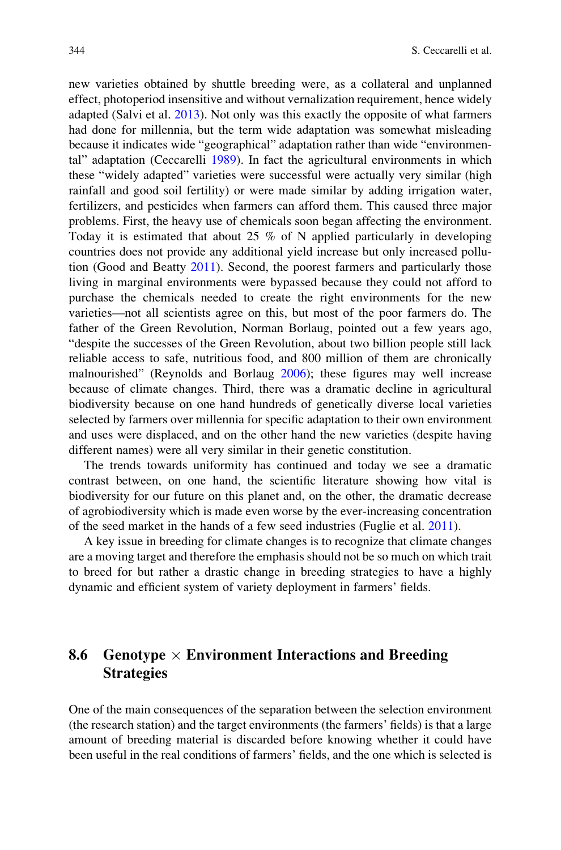new varieties obtained by shuttle breeding were, as a collateral and unplanned effect, photoperiod insensitive and without vernalization requirement, hence widely adapted (Salvi et al. [2013\)](#page-44-0). Not only was this exactly the opposite of what farmers had done for millennia, but the term wide adaptation was somewhat misleading because it indicates wide "geographical" adaptation rather than wide "environmental" adaptation (Ceccarelli [1989](#page-39-0)). In fact the agricultural environments in which these "widely adapted" varieties were successful were actually very similar (high rainfall and good soil fertility) or were made similar by adding irrigation water, fertilizers, and pesticides when farmers can afford them. This caused three major problems. First, the heavy use of chemicals soon began affecting the environment. Today it is estimated that about 25 % of N applied particularly in developing countries does not provide any additional yield increase but only increased pollution (Good and Beatty [2011](#page-42-0)). Second, the poorest farmers and particularly those living in marginal environments were bypassed because they could not afford to purchase the chemicals needed to create the right environments for the new varieties—not all scientists agree on this, but most of the poor farmers do. The father of the Green Revolution, Norman Borlaug, pointed out a few years ago, "despite the successes of the Green Revolution, about two billion people still lack reliable access to safe, nutritious food, and 800 million of them are chronically malnourished" (Reynolds and Borlaug [2006\)](#page-44-0); these figures may well increase because of climate changes. Third, there was a dramatic decline in agricultural biodiversity because on one hand hundreds of genetically diverse local varieties selected by farmers over millennia for specific adaptation to their own environment and uses were displaced, and on the other hand the new varieties (despite having different names) were all very similar in their genetic constitution.

The trends towards uniformity has continued and today we see a dramatic contrast between, on one hand, the scientific literature showing how vital is biodiversity for our future on this planet and, on the other, the dramatic decrease of agrobiodiversity which is made even worse by the ever-increasing concentration of the seed market in the hands of a few seed industries (Fuglie et al. [2011\)](#page-41-0).

A key issue in breeding for climate changes is to recognize that climate changes are a moving target and therefore the emphasis should not be so much on which trait to breed for but rather a drastic change in breeding strategies to have a highly dynamic and efficient system of variety deployment in farmers' fields.

# 8.6 Genotype  $\times$  Environment Interactions and Breeding **Strategies**

One of the main consequences of the separation between the selection environment (the research station) and the target environments (the farmers' fields) is that a large amount of breeding material is discarded before knowing whether it could have been useful in the real conditions of farmers' fields, and the one which is selected is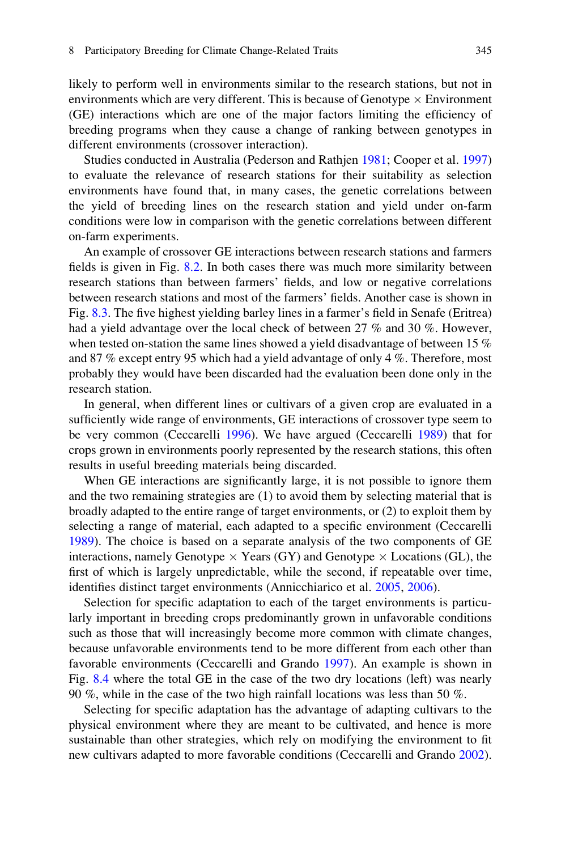likely to perform well in environments similar to the research stations, but not in environments which are very different. This is because of Genotype  $\times$  Environment (GE) interactions which are one of the major factors limiting the efficiency of breeding programs when they cause a change of ranking between genotypes in different environments (crossover interaction).

Studies conducted in Australia (Pederson and Rathjen [1981](#page-43-0); Cooper et al. [1997](#page-41-0)) to evaluate the relevance of research stations for their suitability as selection environments have found that, in many cases, the genetic correlations between the yield of breeding lines on the research station and yield under on-farm conditions were low in comparison with the genetic correlations between different on-farm experiments.

An example of crossover GE interactions between research stations and farmers fields is given in Fig. [8.2.](#page-15-0) In both cases there was much more similarity between research stations than between farmers' fields, and low or negative correlations between research stations and most of the farmers' fields. Another case is shown in Fig. [8.3](#page-15-0). The five highest yielding barley lines in a farmer's field in Senafe (Eritrea) had a yield advantage over the local check of between 27 % and 30 %. However, when tested on-station the same lines showed a yield disadvantage of between 15 % and 87 % except entry 95 which had a yield advantage of only 4 %. Therefore, most probably they would have been discarded had the evaluation been done only in the research station.

In general, when different lines or cultivars of a given crop are evaluated in a sufficiently wide range of environments, GE interactions of crossover type seem to be very common (Ceccarelli [1996\)](#page-39-0). We have argued (Ceccarelli [1989](#page-39-0)) that for crops grown in environments poorly represented by the research stations, this often results in useful breeding materials being discarded.

When GE interactions are significantly large, it is not possible to ignore them and the two remaining strategies are (1) to avoid them by selecting material that is broadly adapted to the entire range of target environments, or (2) to exploit them by selecting a range of material, each adapted to a specific environment (Ceccarelli [1989\)](#page-39-0). The choice is based on a separate analysis of the two components of GE interactions, namely Genotype  $\times$  Years (GY) and Genotype  $\times$  Locations (GL), the first of which is largely unpredictable, while the second, if repeatable over time, identifies distinct target environments (Annicchiarico et al. [2005](#page-39-0), [2006](#page-39-0)).

Selection for specific adaptation to each of the target environments is particularly important in breeding crops predominantly grown in unfavorable conditions such as those that will increasingly become more common with climate changes, because unfavorable environments tend to be more different from each other than favorable environments (Ceccarelli and Grando [1997\)](#page-40-0). An example is shown in Fig. [8.4](#page-16-0) where the total GE in the case of the two dry locations (left) was nearly 90 %, while in the case of the two high rainfall locations was less than 50 %.

Selecting for specific adaptation has the advantage of adapting cultivars to the physical environment where they are meant to be cultivated, and hence is more sustainable than other strategies, which rely on modifying the environment to fit new cultivars adapted to more favorable conditions (Ceccarelli and Grando [2002\)](#page-40-0).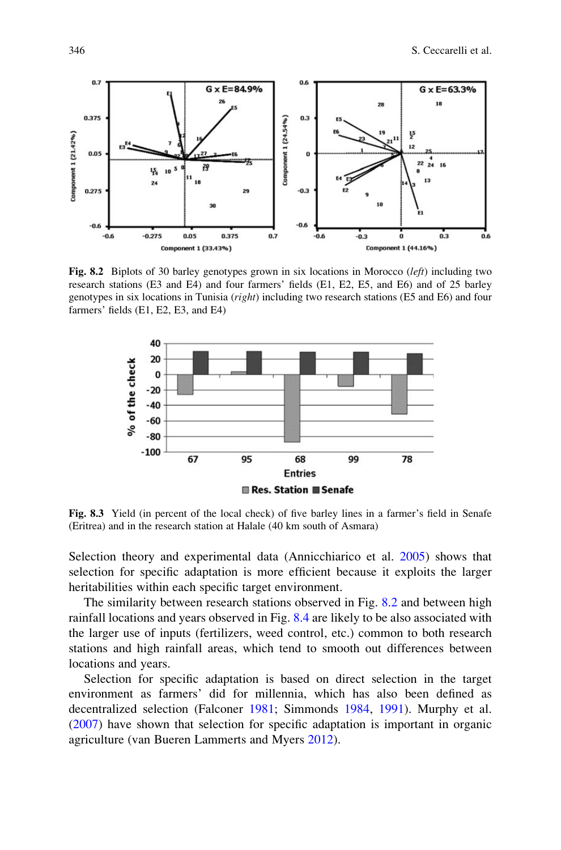<span id="page-15-0"></span>

Fig. 8.2 Biplots of 30 barley genotypes grown in six locations in Morocco (left) including two research stations (E3 and E4) and four farmers' fields (E1, E2, E5, and E6) and of 25 barley genotypes in six locations in Tunisia (right) including two research stations (E5 and E6) and four farmers' fields (E1, E2, E3, and E4)



Fig. 8.3 Yield (in percent of the local check) of five barley lines in a farmer's field in Senafe (Eritrea) and in the research station at Halale (40 km south of Asmara)

Selection theory and experimental data (Annicchiarico et al. [2005](#page-39-0)) shows that selection for specific adaptation is more efficient because it exploits the larger heritabilities within each specific target environment.

The similarity between research stations observed in Fig. 8.2 and between high rainfall locations and years observed in Fig. [8.4](#page-16-0) are likely to be also associated with the larger use of inputs (fertilizers, weed control, etc.) common to both research stations and high rainfall areas, which tend to smooth out differences between locations and years.

Selection for specific adaptation is based on direct selection in the target environment as farmers' did for millennia, which has also been defined as decentralized selection (Falconer [1981](#page-41-0); Simmonds [1984,](#page-44-0) [1991\)](#page-44-0). Murphy et al. [\(2007](#page-43-0)) have shown that selection for specific adaptation is important in organic agriculture (van Bueren Lammerts and Myers [2012](#page-45-0)).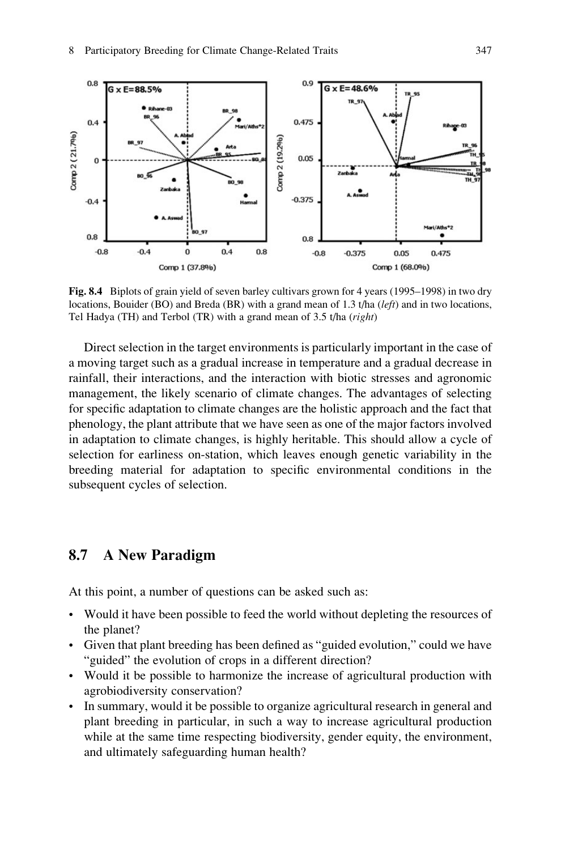<span id="page-16-0"></span>

Fig. 8.4 Biplots of grain yield of seven barley cultivars grown for 4 years (1995–1998) in two dry locations, Bouider (BO) and Breda (BR) with a grand mean of 1.3 t/ha (left) and in two locations, Tel Hadya (TH) and Terbol (TR) with a grand mean of 3.5 t/ha (right)

Direct selection in the target environments is particularly important in the case of a moving target such as a gradual increase in temperature and a gradual decrease in rainfall, their interactions, and the interaction with biotic stresses and agronomic management, the likely scenario of climate changes. The advantages of selecting for specific adaptation to climate changes are the holistic approach and the fact that phenology, the plant attribute that we have seen as one of the major factors involved in adaptation to climate changes, is highly heritable. This should allow a cycle of selection for earliness on-station, which leaves enough genetic variability in the breeding material for adaptation to specific environmental conditions in the subsequent cycles of selection.

#### 8.7 A New Paradigm

At this point, a number of questions can be asked such as:

- Would it have been possible to feed the world without depleting the resources of the planet?
- Given that plant breeding has been defined as "guided evolution," could we have "guided" the evolution of crops in a different direction?
- Would it be possible to harmonize the increase of agricultural production with agrobiodiversity conservation?
- In summary, would it be possible to organize agricultural research in general and plant breeding in particular, in such a way to increase agricultural production while at the same time respecting biodiversity, gender equity, the environment, and ultimately safeguarding human health?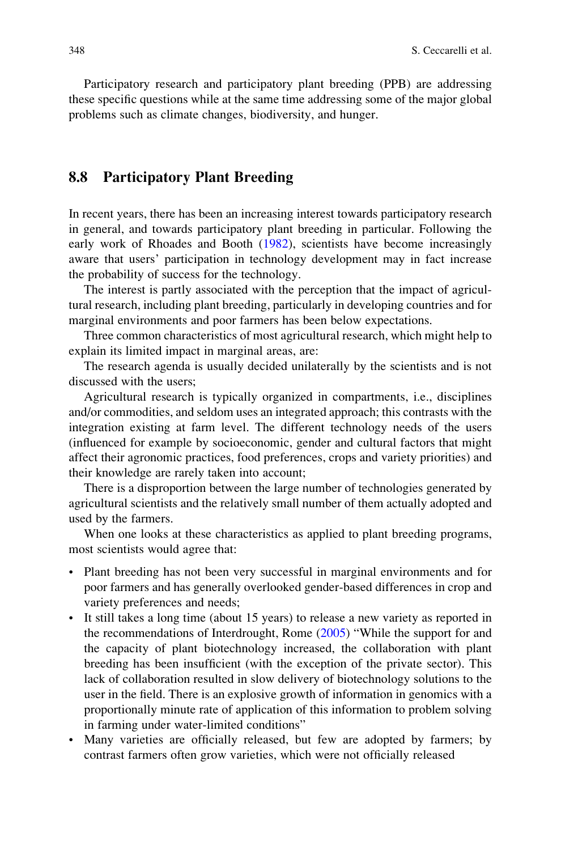Participatory research and participatory plant breeding (PPB) are addressing these specific questions while at the same time addressing some of the major global problems such as climate changes, biodiversity, and hunger.

# 8.8 Participatory Plant Breeding

In recent years, there has been an increasing interest towards participatory research in general, and towards participatory plant breeding in particular. Following the early work of Rhoades and Booth [\(1982](#page-44-0)), scientists have become increasingly aware that users' participation in technology development may in fact increase the probability of success for the technology.

The interest is partly associated with the perception that the impact of agricultural research, including plant breeding, particularly in developing countries and for marginal environments and poor farmers has been below expectations.

Three common characteristics of most agricultural research, which might help to explain its limited impact in marginal areas, are:

The research agenda is usually decided unilaterally by the scientists and is not discussed with the users;

Agricultural research is typically organized in compartments, i.e., disciplines and/or commodities, and seldom uses an integrated approach; this contrasts with the integration existing at farm level. The different technology needs of the users (influenced for example by socioeconomic, gender and cultural factors that might affect their agronomic practices, food preferences, crops and variety priorities) and their knowledge are rarely taken into account;

There is a disproportion between the large number of technologies generated by agricultural scientists and the relatively small number of them actually adopted and used by the farmers.

When one looks at these characteristics as applied to plant breeding programs, most scientists would agree that:

- Plant breeding has not been very successful in marginal environments and for poor farmers and has generally overlooked gender-based differences in crop and variety preferences and needs;
- It still takes a long time (about 15 years) to release a new variety as reported in the recommendations of Interdrought, Rome [\(2005](#page-42-0)) "While the support for and the capacity of plant biotechnology increased, the collaboration with plant breeding has been insufficient (with the exception of the private sector). This lack of collaboration resulted in slow delivery of biotechnology solutions to the user in the field. There is an explosive growth of information in genomics with a proportionally minute rate of application of this information to problem solving in farming under water-limited conditions"
- Many varieties are officially released, but few are adopted by farmers; by contrast farmers often grow varieties, which were not officially released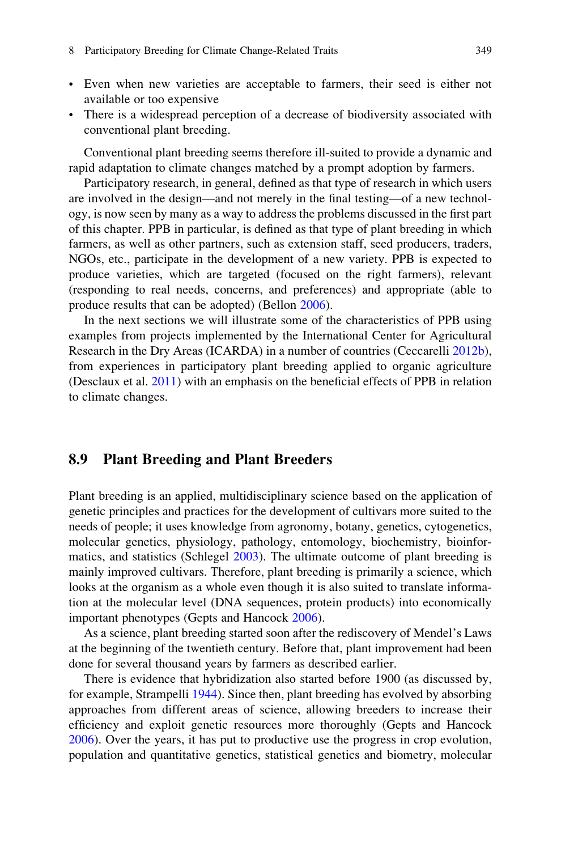#### 8 Participatory Breeding for Climate Change-Related Traits 349

- Even when new varieties are acceptable to farmers, their seed is either not available or too expensive
- There is a widespread perception of a decrease of biodiversity associated with conventional plant breeding.

Conventional plant breeding seems therefore ill-suited to provide a dynamic and rapid adaptation to climate changes matched by a prompt adoption by farmers.

Participatory research, in general, defined as that type of research in which users are involved in the design—and not merely in the final testing—of a new technology, is now seen by many as a way to address the problems discussed in the first part of this chapter. PPB in particular, is defined as that type of plant breeding in which farmers, as well as other partners, such as extension staff, seed producers, traders, NGOs, etc., participate in the development of a new variety. PPB is expected to produce varieties, which are targeted (focused on the right farmers), relevant (responding to real needs, concerns, and preferences) and appropriate (able to produce results that can be adopted) (Bellon [2006](#page-39-0)).

In the next sections we will illustrate some of the characteristics of PPB using examples from projects implemented by the International Center for Agricultural Research in the Dry Areas (ICARDA) in a number of countries (Ceccarelli [2012b\)](#page-40-0), from experiences in participatory plant breeding applied to organic agriculture (Desclaux et al. [2011\)](#page-41-0) with an emphasis on the beneficial effects of PPB in relation to climate changes.

#### 8.9 Plant Breeding and Plant Breeders

Plant breeding is an applied, multidisciplinary science based on the application of genetic principles and practices for the development of cultivars more suited to the needs of people; it uses knowledge from agronomy, botany, genetics, cytogenetics, molecular genetics, physiology, pathology, entomology, biochemistry, bioinformatics, and statistics (Schlegel [2003\)](#page-44-0). The ultimate outcome of plant breeding is mainly improved cultivars. Therefore, plant breeding is primarily a science, which looks at the organism as a whole even though it is also suited to translate information at the molecular level (DNA sequences, protein products) into economically important phenotypes (Gepts and Hancock [2006\)](#page-42-0).

As a science, plant breeding started soon after the rediscovery of Mendel's Laws at the beginning of the twentieth century. Before that, plant improvement had been done for several thousand years by farmers as described earlier.

There is evidence that hybridization also started before 1900 (as discussed by, for example, Strampelli [1944](#page-45-0)). Since then, plant breeding has evolved by absorbing approaches from different areas of science, allowing breeders to increase their efficiency and exploit genetic resources more thoroughly (Gepts and Hancock [2006\)](#page-42-0). Over the years, it has put to productive use the progress in crop evolution, population and quantitative genetics, statistical genetics and biometry, molecular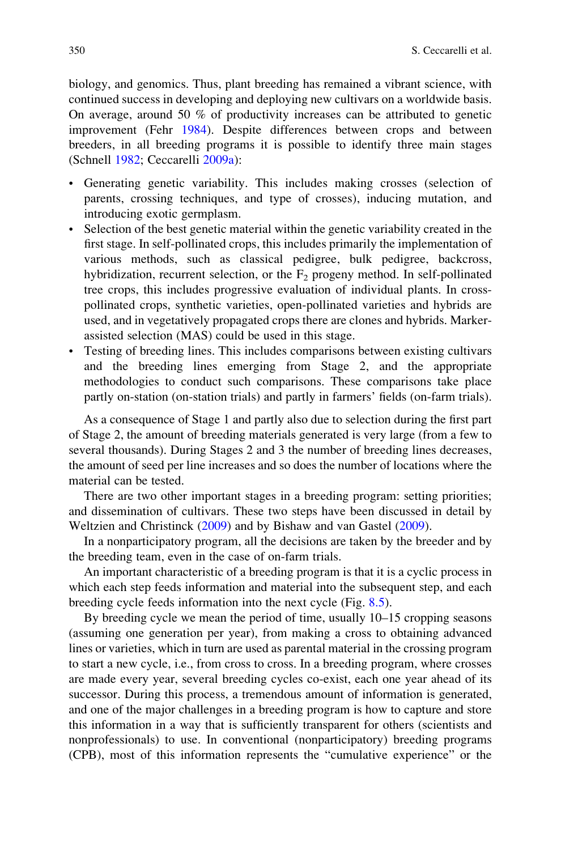biology, and genomics. Thus, plant breeding has remained a vibrant science, with continued success in developing and deploying new cultivars on a worldwide basis. On average, around 50 % of productivity increases can be attributed to genetic improvement (Fehr [1984](#page-41-0)). Despite differences between crops and between breeders, in all breeding programs it is possible to identify three main stages (Schnell [1982;](#page-44-0) Ceccarelli [2009a\)](#page-39-0):

- Generating genetic variability. This includes making crosses (selection of parents, crossing techniques, and type of crosses), inducing mutation, and introducing exotic germplasm.
- Selection of the best genetic material within the genetic variability created in the first stage. In self-pollinated crops, this includes primarily the implementation of various methods, such as classical pedigree, bulk pedigree, backcross, hybridization, recurrent selection, or the  $F_2$  progeny method. In self-pollinated tree crops, this includes progressive evaluation of individual plants. In crosspollinated crops, synthetic varieties, open-pollinated varieties and hybrids are used, and in vegetatively propagated crops there are clones and hybrids. Markerassisted selection (MAS) could be used in this stage.
- Testing of breeding lines. This includes comparisons between existing cultivars and the breeding lines emerging from Stage 2, and the appropriate methodologies to conduct such comparisons. These comparisons take place partly on-station (on-station trials) and partly in farmers' fields (on-farm trials).

As a consequence of Stage 1 and partly also due to selection during the first part of Stage 2, the amount of breeding materials generated is very large (from a few to several thousands). During Stages 2 and 3 the number of breeding lines decreases, the amount of seed per line increases and so does the number of locations where the material can be tested.

There are two other important stages in a breeding program: setting priorities; and dissemination of cultivars. These two steps have been discussed in detail by Weltzien and Christinck ([2009\)](#page-45-0) and by Bishaw and van Gastel ([2009\)](#page-39-0).

In a nonparticipatory program, all the decisions are taken by the breeder and by the breeding team, even in the case of on-farm trials.

An important characteristic of a breeding program is that it is a cyclic process in which each step feeds information and material into the subsequent step, and each breeding cycle feeds information into the next cycle (Fig. [8.5\)](#page-20-0).

By breeding cycle we mean the period of time, usually 10–15 cropping seasons (assuming one generation per year), from making a cross to obtaining advanced lines or varieties, which in turn are used as parental material in the crossing program to start a new cycle, i.e., from cross to cross. In a breeding program, where crosses are made every year, several breeding cycles co-exist, each one year ahead of its successor. During this process, a tremendous amount of information is generated, and one of the major challenges in a breeding program is how to capture and store this information in a way that is sufficiently transparent for others (scientists and nonprofessionals) to use. In conventional (nonparticipatory) breeding programs (CPB), most of this information represents the "cumulative experience" or the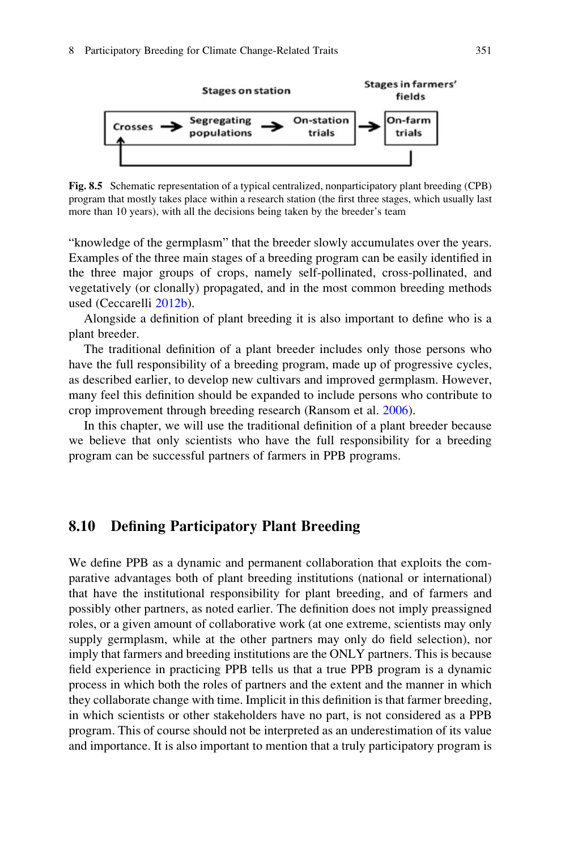<span id="page-20-0"></span>

Fig. 8.5 Schematic representation of a typical centralized, nonparticipatory plant breeding (CPB) program that mostly takes place within a research station (the first three stages, which usually last more than 10 years), with all the decisions being taken by the breeder's team

"knowledge of the germplasm" that the breeder slowly accumulates over the years. Examples of the three main stages of a breeding program can be easily identified in the three major groups of crops, namely self-pollinated, cross-pollinated, and vegetatively (or clonally) propagated, and in the most common breeding methods used (Ceccarelli [2012b\)](#page-40-0).

Alongside a definition of plant breeding it is also important to define who is a plant breeder.

The traditional definition of a plant breeder includes only those persons who have the full responsibility of a breeding program, made up of progressive cycles, as described earlier, to develop new cultivars and improved germplasm. However, many feel this definition should be expanded to include persons who contribute to crop improvement through breeding research (Ransom et al. [2006\)](#page-44-0).

In this chapter, we will use the traditional definition of a plant breeder because we believe that only scientists who have the full responsibility for a breeding program can be successful partners of farmers in PPB programs.

#### 8.10 Defining Participatory Plant Breeding

We define PPB as a dynamic and permanent collaboration that exploits the comparative advantages both of plant breeding institutions (national or international) that have the institutional responsibility for plant breeding, and of farmers and possibly other partners, as noted earlier. The definition does not imply preassigned roles, or a given amount of collaborative work (at one extreme, scientists may only supply germplasm, while at the other partners may only do field selection), nor imply that farmers and breeding institutions are the ONLY partners. This is because field experience in practicing PPB tells us that a true PPB program is a dynamic process in which both the roles of partners and the extent and the manner in which they collaborate change with time. Implicit in this definition is that farmer breeding, in which scientists or other stakeholders have no part, is not considered as a PPB program. This of course should not be interpreted as an underestimation of its value and importance. It is also important to mention that a truly participatory program is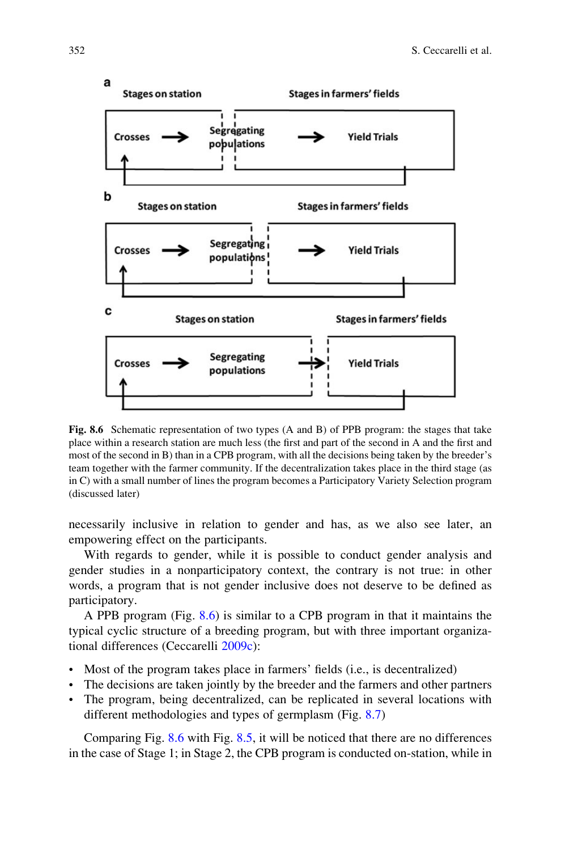<span id="page-21-0"></span>

Fig. 8.6 Schematic representation of two types (A and B) of PPB program: the stages that take place within a research station are much less (the first and part of the second in A and the first and most of the second in B) than in a CPB program, with all the decisions being taken by the breeder's team together with the farmer community. If the decentralization takes place in the third stage (as in C) with a small number of lines the program becomes a Participatory Variety Selection program (discussed later)

necessarily inclusive in relation to gender and has, as we also see later, an empowering effect on the participants.

With regards to gender, while it is possible to conduct gender analysis and gender studies in a nonparticipatory context, the contrary is not true: in other words, a program that is not gender inclusive does not deserve to be defined as participatory.

A PPB program (Fig. 8.6) is similar to a CPB program in that it maintains the typical cyclic structure of a breeding program, but with three important organizational differences (Ceccarelli [2009c](#page-40-0)):

- Most of the program takes place in farmers' fields (i.e., is decentralized)
- The decisions are taken jointly by the breeder and the farmers and other partners
- The program, being decentralized, can be replicated in several locations with different methodologies and types of germplasm (Fig. [8.7\)](#page-22-0)

Comparing Fig. 8.6 with Fig. [8.5,](#page-20-0) it will be noticed that there are no differences in the case of Stage 1; in Stage 2, the CPB program is conducted on-station, while in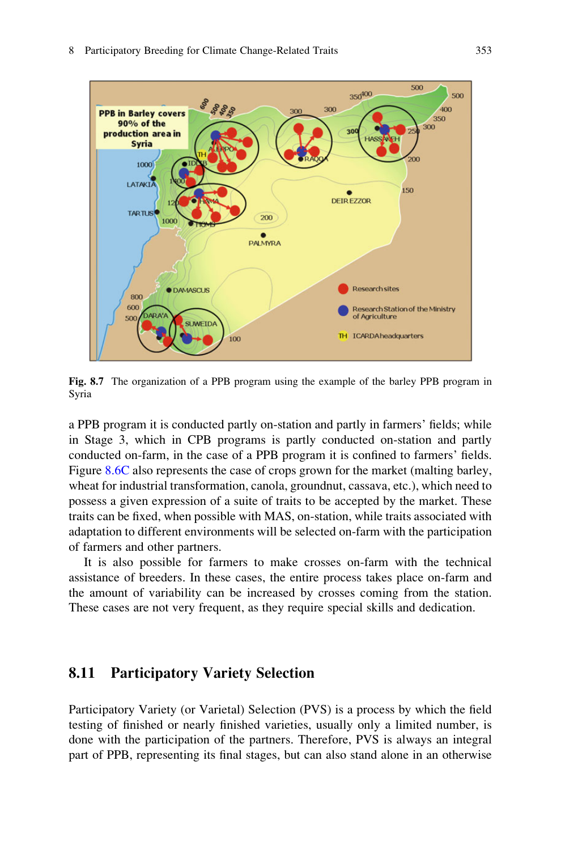<span id="page-22-0"></span>

Fig. 8.7 The organization of a PPB program using the example of the barley PPB program in Syria

a PPB program it is conducted partly on-station and partly in farmers' fields; while in Stage 3, which in CPB programs is partly conducted on-station and partly conducted on-farm, in the case of a PPB program it is confined to farmers' fields. Figure [8.6C](#page-21-0) also represents the case of crops grown for the market (malting barley, wheat for industrial transformation, canola, groundnut, cassava, etc.), which need to possess a given expression of a suite of traits to be accepted by the market. These traits can be fixed, when possible with MAS, on-station, while traits associated with adaptation to different environments will be selected on-farm with the participation of farmers and other partners.

It is also possible for farmers to make crosses on-farm with the technical assistance of breeders. In these cases, the entire process takes place on-farm and the amount of variability can be increased by crosses coming from the station. These cases are not very frequent, as they require special skills and dedication.

#### 8.11 Participatory Variety Selection

Participatory Variety (or Varietal) Selection (PVS) is a process by which the field testing of finished or nearly finished varieties, usually only a limited number, is done with the participation of the partners. Therefore, PVS is always an integral part of PPB, representing its final stages, but can also stand alone in an otherwise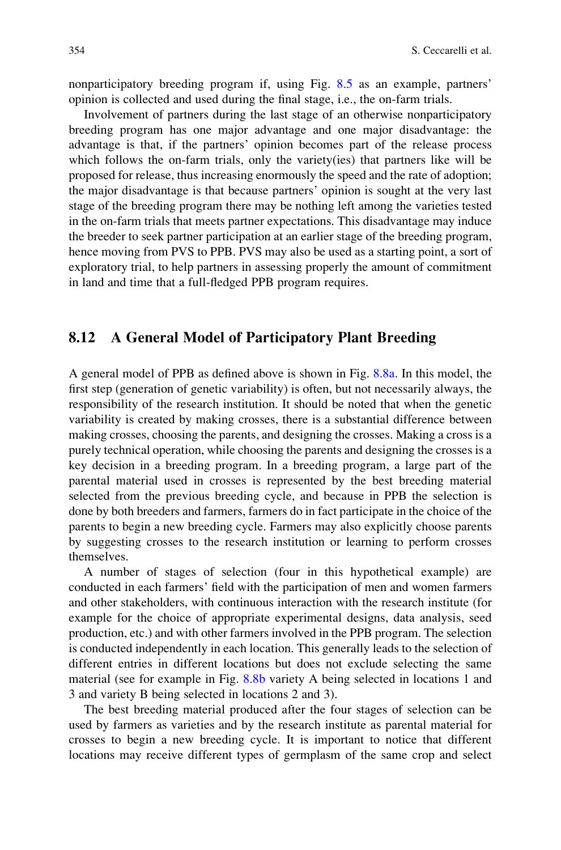nonparticipatory breeding program if, using Fig. [8.5](#page-20-0) as an example, partners' opinion is collected and used during the final stage, i.e., the on-farm trials.

Involvement of partners during the last stage of an otherwise nonparticipatory breeding program has one major advantage and one major disadvantage: the advantage is that, if the partners' opinion becomes part of the release process which follows the on-farm trials, only the variety(ies) that partners like will be proposed for release, thus increasing enormously the speed and the rate of adoption; the major disadvantage is that because partners' opinion is sought at the very last stage of the breeding program there may be nothing left among the varieties tested in the on-farm trials that meets partner expectations. This disadvantage may induce the breeder to seek partner participation at an earlier stage of the breeding program, hence moving from PVS to PPB. PVS may also be used as a starting point, a sort of exploratory trial, to help partners in assessing properly the amount of commitment in land and time that a full-fledged PPB program requires.

#### 8.12 A General Model of Participatory Plant Breeding

A general model of PPB as defined above is shown in Fig. [8.8a](#page-24-0). In this model, the first step (generation of genetic variability) is often, but not necessarily always, the responsibility of the research institution. It should be noted that when the genetic variability is created by making crosses, there is a substantial difference between making crosses, choosing the parents, and designing the crosses. Making a cross is a purely technical operation, while choosing the parents and designing the crosses is a key decision in a breeding program. In a breeding program, a large part of the parental material used in crosses is represented by the best breeding material selected from the previous breeding cycle, and because in PPB the selection is done by both breeders and farmers, farmers do in fact participate in the choice of the parents to begin a new breeding cycle. Farmers may also explicitly choose parents by suggesting crosses to the research institution or learning to perform crosses themselves.

A number of stages of selection (four in this hypothetical example) are conducted in each farmers' field with the participation of men and women farmers and other stakeholders, with continuous interaction with the research institute (for example for the choice of appropriate experimental designs, data analysis, seed production, etc.) and with other farmers involved in the PPB program. The selection is conducted independently in each location. This generally leads to the selection of different entries in different locations but does not exclude selecting the same material (see for example in Fig. [8.8b](#page-24-0) variety A being selected in locations 1 and 3 and variety B being selected in locations 2 and 3).

The best breeding material produced after the four stages of selection can be used by farmers as varieties and by the research institute as parental material for crosses to begin a new breeding cycle. It is important to notice that different locations may receive different types of germplasm of the same crop and select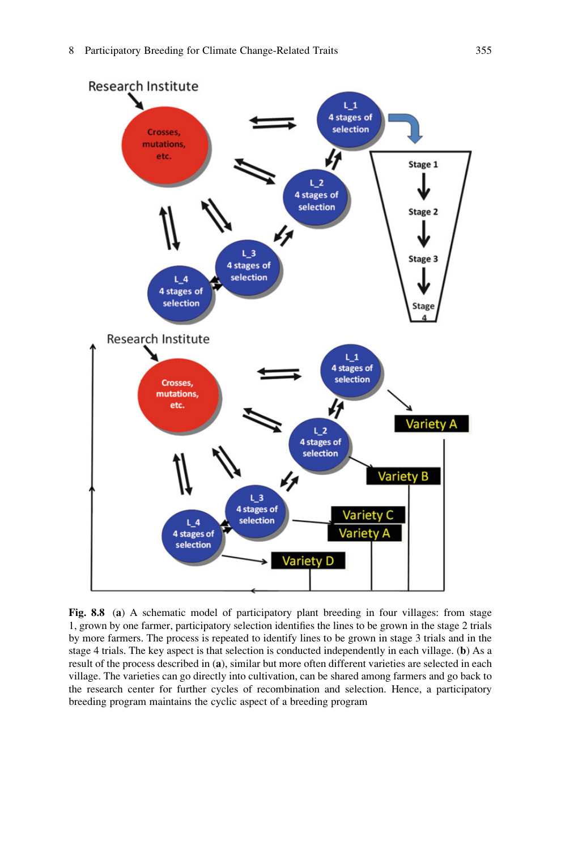<span id="page-24-0"></span>

Fig. 8.8 (a) A schematic model of participatory plant breeding in four villages: from stage 1, grown by one farmer, participatory selection identifies the lines to be grown in the stage 2 trials by more farmers. The process is repeated to identify lines to be grown in stage 3 trials and in the stage 4 trials. The key aspect is that selection is conducted independently in each village. (b) As a result of the process described in (a), similar but more often different varieties are selected in each village. The varieties can go directly into cultivation, can be shared among farmers and go back to the research center for further cycles of recombination and selection. Hence, a participatory breeding program maintains the cyclic aspect of a breeding program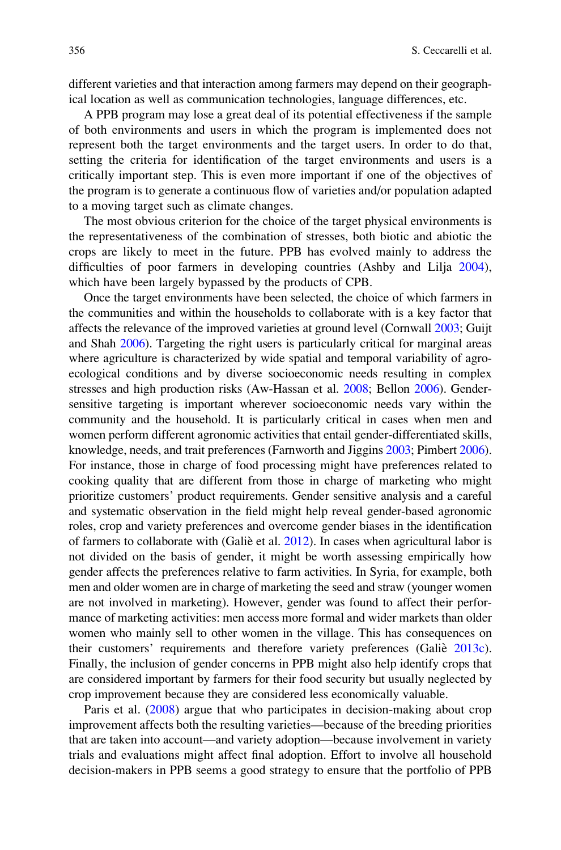different varieties and that interaction among farmers may depend on their geographical location as well as communication technologies, language differences, etc.

A PPB program may lose a great deal of its potential effectiveness if the sample of both environments and users in which the program is implemented does not represent both the target environments and the target users. In order to do that, setting the criteria for identification of the target environments and users is a critically important step. This is even more important if one of the objectives of the program is to generate a continuous flow of varieties and/or population adapted to a moving target such as climate changes.

The most obvious criterion for the choice of the target physical environments is the representativeness of the combination of stresses, both biotic and abiotic the crops are likely to meet in the future. PPB has evolved mainly to address the difficulties of poor farmers in developing countries (Ashby and Lilja [2004\)](#page-39-0), which have been largely bypassed by the products of CPB.

Once the target environments have been selected, the choice of which farmers in the communities and within the households to collaborate with is a key factor that affects the relevance of the improved varieties at ground level (Cornwall [2003](#page-41-0); Guijt and Shah [2006\)](#page-42-0). Targeting the right users is particularly critical for marginal areas where agriculture is characterized by wide spatial and temporal variability of agroecological conditions and by diverse socioeconomic needs resulting in complex stresses and high production risks (Aw-Hassan et al. [2008;](#page-39-0) Bellon [2006](#page-39-0)). Gendersensitive targeting is important wherever socioeconomic needs vary within the community and the household. It is particularly critical in cases when men and women perform different agronomic activities that entail gender-differentiated skills, knowledge, needs, and trait preferences (Farnworth and Jiggins [2003](#page-41-0); Pimbert [2006\)](#page-44-0). For instance, those in charge of food processing might have preferences related to cooking quality that are different from those in charge of marketing who might prioritize customers' product requirements. Gender sensitive analysis and a careful and systematic observation in the field might help reveal gender-based agronomic roles, crop and variety preferences and overcome gender biases in the identification of farmers to collaborate with (Galiè et al.  $2012$ ). In cases when agricultural labor is not divided on the basis of gender, it might be worth assessing empirically how gender affects the preferences relative to farm activities. In Syria, for example, both men and older women are in charge of marketing the seed and straw (younger women are not involved in marketing). However, gender was found to affect their performance of marketing activities: men access more formal and wider markets than older women who mainly sell to other women in the village. This has consequences on their customers' requirements and therefore variety preferences (Galie` [2013c\)](#page-42-0). Finally, the inclusion of gender concerns in PPB might also help identify crops that are considered important by farmers for their food security but usually neglected by crop improvement because they are considered less economically valuable.

Paris et al. [\(2008](#page-43-0)) argue that who participates in decision-making about crop improvement affects both the resulting varieties—because of the breeding priorities that are taken into account—and variety adoption—because involvement in variety trials and evaluations might affect final adoption. Effort to involve all household decision-makers in PPB seems a good strategy to ensure that the portfolio of PPB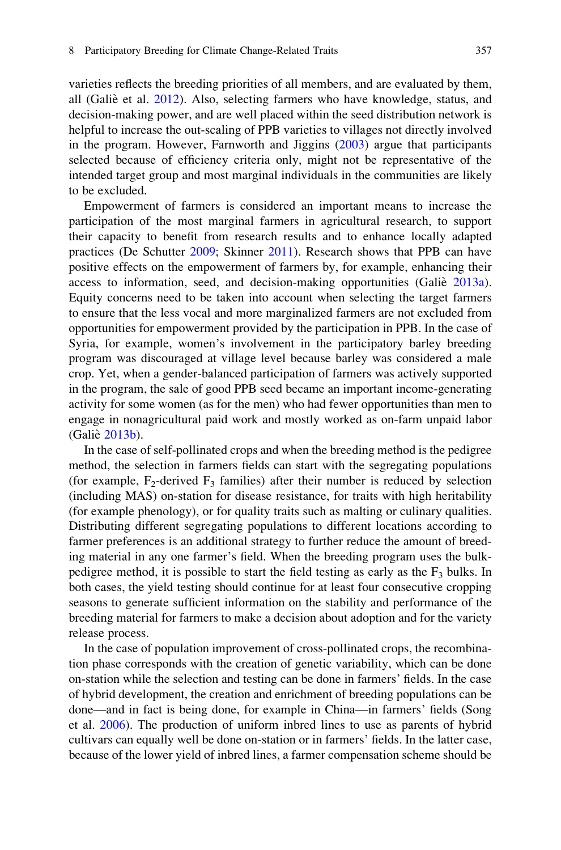varieties reflects the breeding priorities of all members, and are evaluated by them, all (Galie` et al. [2012\)](#page-42-0). Also, selecting farmers who have knowledge, status, and decision-making power, and are well placed within the seed distribution network is helpful to increase the out-scaling of PPB varieties to villages not directly involved in the program. However, Farnworth and Jiggins ([2003\)](#page-41-0) argue that participants selected because of efficiency criteria only, might not be representative of the intended target group and most marginal individuals in the communities are likely to be excluded.

Empowerment of farmers is considered an important means to increase the participation of the most marginal farmers in agricultural research, to support their capacity to benefit from research results and to enhance locally adapted practices (De Schutter [2009;](#page-41-0) Skinner [2011](#page-44-0)). Research shows that PPB can have positive effects on the empowerment of farmers by, for example, enhancing their access to information, seed, and decision-making opportunities (Galie` [2013a\)](#page-41-0). Equity concerns need to be taken into account when selecting the target farmers to ensure that the less vocal and more marginalized farmers are not excluded from opportunities for empowerment provided by the participation in PPB. In the case of Syria, for example, women's involvement in the participatory barley breeding program was discouraged at village level because barley was considered a male crop. Yet, when a gender-balanced participation of farmers was actively supported in the program, the sale of good PPB seed became an important income-generating activity for some women (as for the men) who had fewer opportunities than men to engage in nonagricultural paid work and mostly worked as on-farm unpaid labor (Galie` [2013b\)](#page-42-0).

In the case of self-pollinated crops and when the breeding method is the pedigree method, the selection in farmers fields can start with the segregating populations (for example,  $F_2$ -derived  $F_3$  families) after their number is reduced by selection (including MAS) on-station for disease resistance, for traits with high heritability (for example phenology), or for quality traits such as malting or culinary qualities. Distributing different segregating populations to different locations according to farmer preferences is an additional strategy to further reduce the amount of breeding material in any one farmer's field. When the breeding program uses the bulkpedigree method, it is possible to start the field testing as early as the  $F_3$  bulks. In both cases, the yield testing should continue for at least four consecutive cropping seasons to generate sufficient information on the stability and performance of the breeding material for farmers to make a decision about adoption and for the variety release process.

In the case of population improvement of cross-pollinated crops, the recombination phase corresponds with the creation of genetic variability, which can be done on-station while the selection and testing can be done in farmers' fields. In the case of hybrid development, the creation and enrichment of breeding populations can be done—and in fact is being done, for example in China—in farmers' fields (Song et al. [2006](#page-44-0)). The production of uniform inbred lines to use as parents of hybrid cultivars can equally well be done on-station or in farmers' fields. In the latter case, because of the lower yield of inbred lines, a farmer compensation scheme should be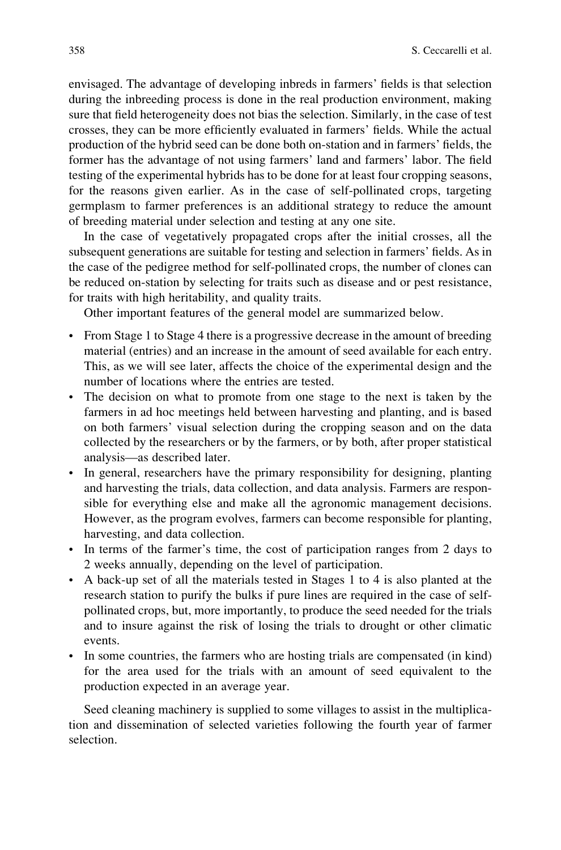envisaged. The advantage of developing inbreds in farmers' fields is that selection during the inbreeding process is done in the real production environment, making sure that field heterogeneity does not bias the selection. Similarly, in the case of test crosses, they can be more efficiently evaluated in farmers' fields. While the actual production of the hybrid seed can be done both on-station and in farmers' fields, the former has the advantage of not using farmers' land and farmers' labor. The field testing of the experimental hybrids has to be done for at least four cropping seasons, for the reasons given earlier. As in the case of self-pollinated crops, targeting germplasm to farmer preferences is an additional strategy to reduce the amount of breeding material under selection and testing at any one site.

In the case of vegetatively propagated crops after the initial crosses, all the subsequent generations are suitable for testing and selection in farmers' fields. As in the case of the pedigree method for self-pollinated crops, the number of clones can be reduced on-station by selecting for traits such as disease and or pest resistance, for traits with high heritability, and quality traits.

Other important features of the general model are summarized below.

- From Stage 1 to Stage 4 there is a progressive decrease in the amount of breeding material (entries) and an increase in the amount of seed available for each entry. This, as we will see later, affects the choice of the experimental design and the number of locations where the entries are tested.
- The decision on what to promote from one stage to the next is taken by the farmers in ad hoc meetings held between harvesting and planting, and is based on both farmers' visual selection during the cropping season and on the data collected by the researchers or by the farmers, or by both, after proper statistical analysis—as described later.
- In general, researchers have the primary responsibility for designing, planting and harvesting the trials, data collection, and data analysis. Farmers are responsible for everything else and make all the agronomic management decisions. However, as the program evolves, farmers can become responsible for planting, harvesting, and data collection.
- In terms of the farmer's time, the cost of participation ranges from 2 days to 2 weeks annually, depending on the level of participation.
- A back-up set of all the materials tested in Stages 1 to 4 is also planted at the research station to purify the bulks if pure lines are required in the case of selfpollinated crops, but, more importantly, to produce the seed needed for the trials and to insure against the risk of losing the trials to drought or other climatic events.
- In some countries, the farmers who are hosting trials are compensated (in kind) for the area used for the trials with an amount of seed equivalent to the production expected in an average year.

Seed cleaning machinery is supplied to some villages to assist in the multiplication and dissemination of selected varieties following the fourth year of farmer selection.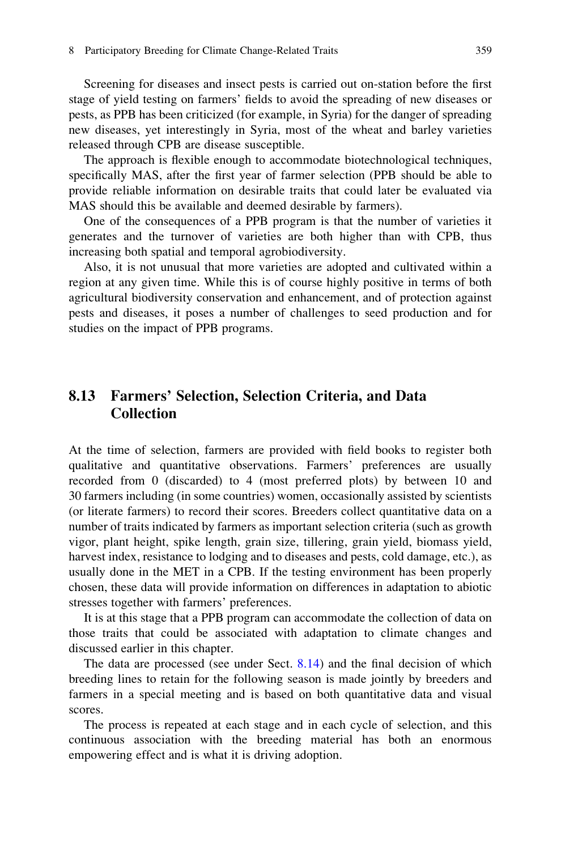Screening for diseases and insect pests is carried out on-station before the first stage of yield testing on farmers' fields to avoid the spreading of new diseases or pests, as PPB has been criticized (for example, in Syria) for the danger of spreading new diseases, yet interestingly in Syria, most of the wheat and barley varieties released through CPB are disease susceptible.

The approach is flexible enough to accommodate biotechnological techniques, specifically MAS, after the first year of farmer selection (PPB should be able to provide reliable information on desirable traits that could later be evaluated via MAS should this be available and deemed desirable by farmers).

One of the consequences of a PPB program is that the number of varieties it generates and the turnover of varieties are both higher than with CPB, thus increasing both spatial and temporal agrobiodiversity.

Also, it is not unusual that more varieties are adopted and cultivated within a region at any given time. While this is of course highly positive in terms of both agricultural biodiversity conservation and enhancement, and of protection against pests and diseases, it poses a number of challenges to seed production and for studies on the impact of PPB programs.

# 8.13 Farmers' Selection, Selection Criteria, and Data Collection

At the time of selection, farmers are provided with field books to register both qualitative and quantitative observations. Farmers' preferences are usually recorded from 0 (discarded) to 4 (most preferred plots) by between 10 and 30 farmers including (in some countries) women, occasionally assisted by scientists (or literate farmers) to record their scores. Breeders collect quantitative data on a number of traits indicated by farmers as important selection criteria (such as growth vigor, plant height, spike length, grain size, tillering, grain yield, biomass yield, harvest index, resistance to lodging and to diseases and pests, cold damage, etc.), as usually done in the MET in a CPB. If the testing environment has been properly chosen, these data will provide information on differences in adaptation to abiotic stresses together with farmers' preferences.

It is at this stage that a PPB program can accommodate the collection of data on those traits that could be associated with adaptation to climate changes and discussed earlier in this chapter.

The data are processed (see under Sect. [8.14\)](#page-29-0) and the final decision of which breeding lines to retain for the following season is made jointly by breeders and farmers in a special meeting and is based on both quantitative data and visual scores.

The process is repeated at each stage and in each cycle of selection, and this continuous association with the breeding material has both an enormous empowering effect and is what it is driving adoption.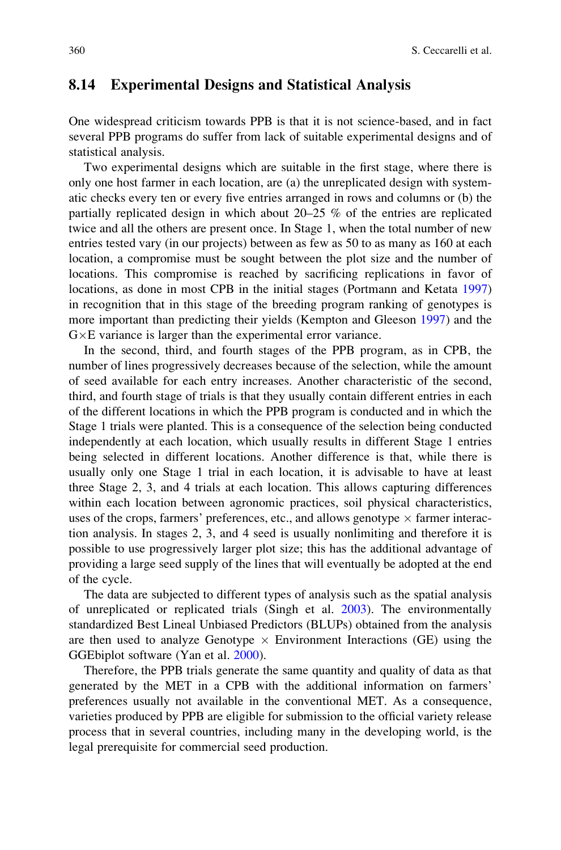#### <span id="page-29-0"></span>8.14 Experimental Designs and Statistical Analysis

One widespread criticism towards PPB is that it is not science-based, and in fact several PPB programs do suffer from lack of suitable experimental designs and of statistical analysis.

Two experimental designs which are suitable in the first stage, where there is only one host farmer in each location, are (a) the unreplicated design with systematic checks every ten or every five entries arranged in rows and columns or (b) the partially replicated design in which about 20–25 % of the entries are replicated twice and all the others are present once. In Stage 1, when the total number of new entries tested vary (in our projects) between as few as 50 to as many as 160 at each location, a compromise must be sought between the plot size and the number of locations. This compromise is reached by sacrificing replications in favor of locations, as done in most CPB in the initial stages (Portmann and Ketata [1997](#page-44-0)) in recognition that in this stage of the breeding program ranking of genotypes is more important than predicting their yields (Kempton and Gleeson [1997](#page-42-0)) and the  $G \times E$  variance is larger than the experimental error variance.

In the second, third, and fourth stages of the PPB program, as in CPB, the number of lines progressively decreases because of the selection, while the amount of seed available for each entry increases. Another characteristic of the second, third, and fourth stage of trials is that they usually contain different entries in each of the different locations in which the PPB program is conducted and in which the Stage 1 trials were planted. This is a consequence of the selection being conducted independently at each location, which usually results in different Stage 1 entries being selected in different locations. Another difference is that, while there is usually only one Stage 1 trial in each location, it is advisable to have at least three Stage 2, 3, and 4 trials at each location. This allows capturing differences within each location between agronomic practices, soil physical characteristics, uses of the crops, farmers' preferences, etc., and allows genotype  $\times$  farmer interaction analysis. In stages 2, 3, and 4 seed is usually nonlimiting and therefore it is possible to use progressively larger plot size; this has the additional advantage of providing a large seed supply of the lines that will eventually be adopted at the end of the cycle.

The data are subjected to different types of analysis such as the spatial analysis of unreplicated or replicated trials (Singh et al. [2003](#page-44-0)). The environmentally standardized Best Lineal Unbiased Predictors (BLUPs) obtained from the analysis are then used to analyze Genotype  $\times$  Environment Interactions (GE) using the GGEbiplot software (Yan et al. [2000](#page-45-0)).

Therefore, the PPB trials generate the same quantity and quality of data as that generated by the MET in a CPB with the additional information on farmers' preferences usually not available in the conventional MET. As a consequence, varieties produced by PPB are eligible for submission to the official variety release process that in several countries, including many in the developing world, is the legal prerequisite for commercial seed production.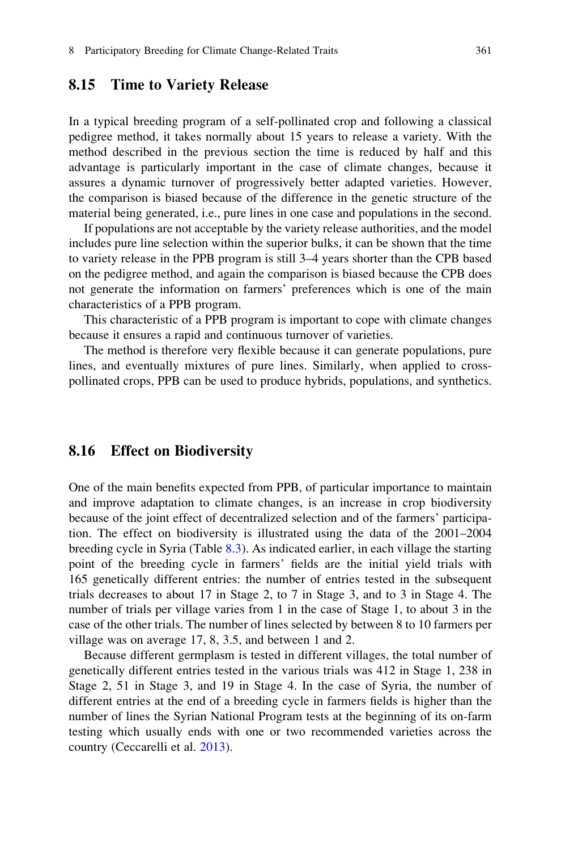#### 8.15 Time to Variety Release

In a typical breeding program of a self-pollinated crop and following a classical pedigree method, it takes normally about 15 years to release a variety. With the method described in the previous section the time is reduced by half and this advantage is particularly important in the case of climate changes, because it assures a dynamic turnover of progressively better adapted varieties. However, the comparison is biased because of the difference in the genetic structure of the material being generated, i.e., pure lines in one case and populations in the second.

If populations are not acceptable by the variety release authorities, and the model includes pure line selection within the superior bulks, it can be shown that the time to variety release in the PPB program is still 3–4 years shorter than the CPB based on the pedigree method, and again the comparison is biased because the CPB does not generate the information on farmers' preferences which is one of the main characteristics of a PPB program.

This characteristic of a PPB program is important to cope with climate changes because it ensures a rapid and continuous turnover of varieties.

The method is therefore very flexible because it can generate populations, pure lines, and eventually mixtures of pure lines. Similarly, when applied to crosspollinated crops, PPB can be used to produce hybrids, populations, and synthetics.

#### 8.16 Effect on Biodiversity

One of the main benefits expected from PPB, of particular importance to maintain and improve adaptation to climate changes, is an increase in crop biodiversity because of the joint effect of decentralized selection and of the farmers' participation. The effect on biodiversity is illustrated using the data of the 2001–2004 breeding cycle in Syria (Table [8.3](#page-31-0)). As indicated earlier, in each village the starting point of the breeding cycle in farmers' fields are the initial yield trials with 165 genetically different entries: the number of entries tested in the subsequent trials decreases to about 17 in Stage 2, to 7 in Stage 3, and to 3 in Stage 4. The number of trials per village varies from 1 in the case of Stage 1, to about 3 in the case of the other trials. The number of lines selected by between 8 to 10 farmers per village was on average 17, 8, 3.5, and between 1 and 2.

Because different germplasm is tested in different villages, the total number of genetically different entries tested in the various trials was 412 in Stage 1, 238 in Stage 2, 51 in Stage 3, and 19 in Stage 4. In the case of Syria, the number of different entries at the end of a breeding cycle in farmers fields is higher than the number of lines the Syrian National Program tests at the beginning of its on-farm testing which usually ends with one or two recommended varieties across the country (Ceccarelli et al. [2013\)](#page-40-0).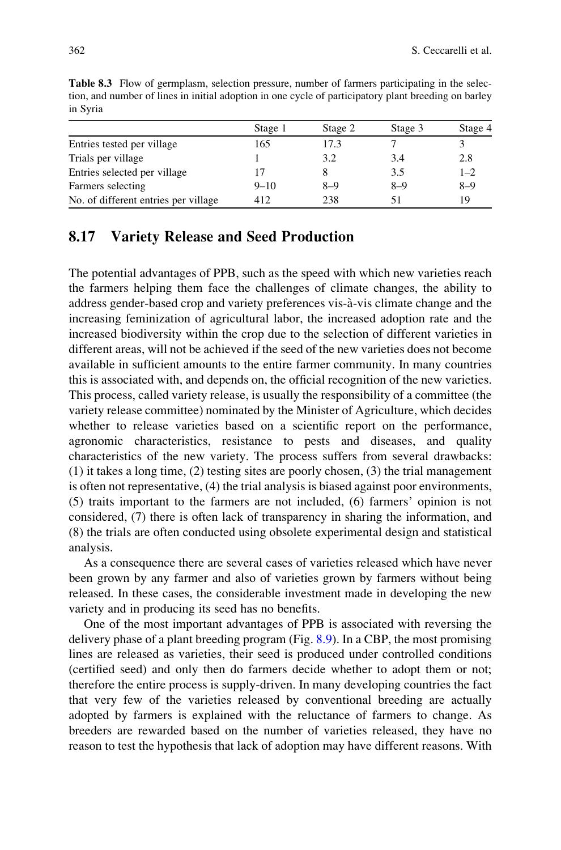Stage 1 Stage 2 Stage 3 Stage 4 Entries tested per village 165 17.3 7 3 Trials per village 1 3.2 3.4 2.8 Entries selected per village 17 8 3.5 1–2 Farmers selecting 9–10 8–9 8–9 8–9 No. of different entries per village  $412$  238 51 19

<span id="page-31-0"></span>Table 8.3 Flow of germplasm, selection pressure, number of farmers participating in the selection, and number of lines in initial adoption in one cycle of participatory plant breeding on barley in Syria

# 8.17 Variety Release and Seed Production

The potential advantages of PPB, such as the speed with which new varieties reach the farmers helping them face the challenges of climate changes, the ability to address gender-based crop and variety preferences vis-a`-vis climate change and the increasing feminization of agricultural labor, the increased adoption rate and the increased biodiversity within the crop due to the selection of different varieties in different areas, will not be achieved if the seed of the new varieties does not become available in sufficient amounts to the entire farmer community. In many countries this is associated with, and depends on, the official recognition of the new varieties. This process, called variety release, is usually the responsibility of a committee (the variety release committee) nominated by the Minister of Agriculture, which decides whether to release varieties based on a scientific report on the performance, agronomic characteristics, resistance to pests and diseases, and quality characteristics of the new variety. The process suffers from several drawbacks:  $(1)$  it takes a long time,  $(2)$  testing sites are poorly chosen,  $(3)$  the trial management is often not representative, (4) the trial analysis is biased against poor environments, (5) traits important to the farmers are not included, (6) farmers' opinion is not considered, (7) there is often lack of transparency in sharing the information, and (8) the trials are often conducted using obsolete experimental design and statistical analysis.

As a consequence there are several cases of varieties released which have never been grown by any farmer and also of varieties grown by farmers without being released. In these cases, the considerable investment made in developing the new variety and in producing its seed has no benefits.

One of the most important advantages of PPB is associated with reversing the delivery phase of a plant breeding program (Fig. [8.9](#page-32-0)). In a CBP, the most promising lines are released as varieties, their seed is produced under controlled conditions (certified seed) and only then do farmers decide whether to adopt them or not; therefore the entire process is supply-driven. In many developing countries the fact that very few of the varieties released by conventional breeding are actually adopted by farmers is explained with the reluctance of farmers to change. As breeders are rewarded based on the number of varieties released, they have no reason to test the hypothesis that lack of adoption may have different reasons. With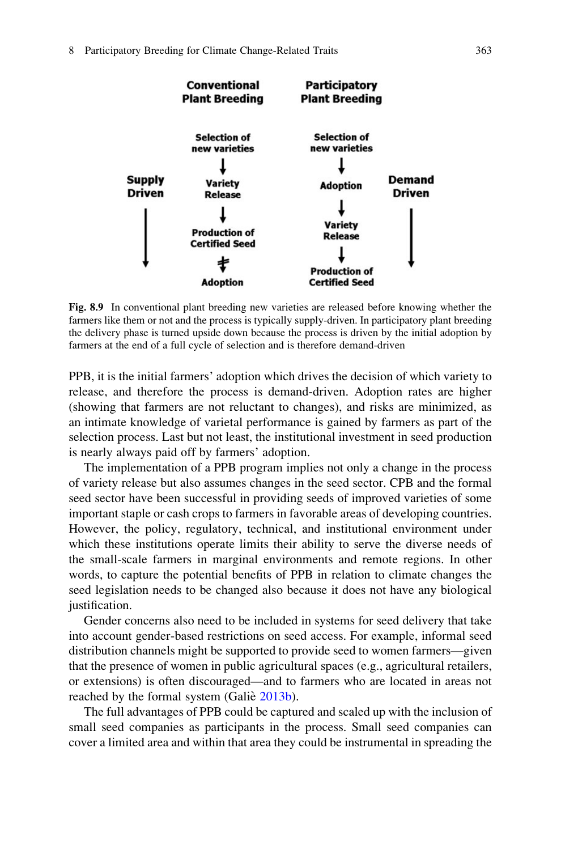<span id="page-32-0"></span>

Fig. 8.9 In conventional plant breeding new varieties are released before knowing whether the farmers like them or not and the process is typically supply-driven. In participatory plant breeding the delivery phase is turned upside down because the process is driven by the initial adoption by farmers at the end of a full cycle of selection and is therefore demand-driven

PPB, it is the initial farmers' adoption which drives the decision of which variety to release, and therefore the process is demand-driven. Adoption rates are higher (showing that farmers are not reluctant to changes), and risks are minimized, as an intimate knowledge of varietal performance is gained by farmers as part of the selection process. Last but not least, the institutional investment in seed production is nearly always paid off by farmers' adoption.

The implementation of a PPB program implies not only a change in the process of variety release but also assumes changes in the seed sector. CPB and the formal seed sector have been successful in providing seeds of improved varieties of some important staple or cash crops to farmers in favorable areas of developing countries. However, the policy, regulatory, technical, and institutional environment under which these institutions operate limits their ability to serve the diverse needs of the small-scale farmers in marginal environments and remote regions. In other words, to capture the potential benefits of PPB in relation to climate changes the seed legislation needs to be changed also because it does not have any biological justification.

Gender concerns also need to be included in systems for seed delivery that take into account gender-based restrictions on seed access. For example, informal seed distribution channels might be supported to provide seed to women farmers—given that the presence of women in public agricultural spaces (e.g., agricultural retailers, or extensions) is often discouraged—and to farmers who are located in areas not reached by the formal system (Galie<sup>2013b</sup>).

The full advantages of PPB could be captured and scaled up with the inclusion of small seed companies as participants in the process. Small seed companies can cover a limited area and within that area they could be instrumental in spreading the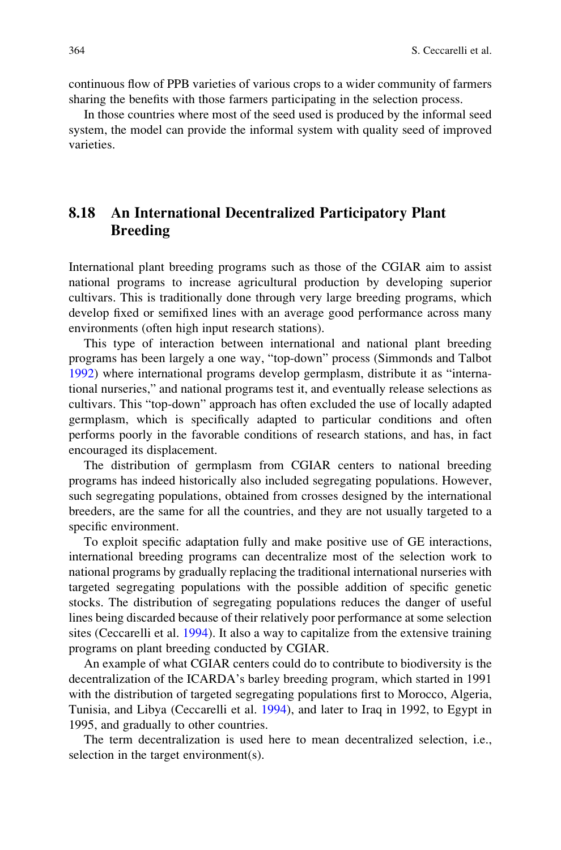continuous flow of PPB varieties of various crops to a wider community of farmers sharing the benefits with those farmers participating in the selection process.

In those countries where most of the seed used is produced by the informal seed system, the model can provide the informal system with quality seed of improved varieties.

# 8.18 An International Decentralized Participatory Plant Breeding

International plant breeding programs such as those of the CGIAR aim to assist national programs to increase agricultural production by developing superior cultivars. This is traditionally done through very large breeding programs, which develop fixed or semifixed lines with an average good performance across many environments (often high input research stations).

This type of interaction between international and national plant breeding programs has been largely a one way, "top-down" process (Simmonds and Talbot [1992\)](#page-44-0) where international programs develop germplasm, distribute it as "international nurseries," and national programs test it, and eventually release selections as cultivars. This "top-down" approach has often excluded the use of locally adapted germplasm, which is specifically adapted to particular conditions and often performs poorly in the favorable conditions of research stations, and has, in fact encouraged its displacement.

The distribution of germplasm from CGIAR centers to national breeding programs has indeed historically also included segregating populations. However, such segregating populations, obtained from crosses designed by the international breeders, are the same for all the countries, and they are not usually targeted to a specific environment.

To exploit specific adaptation fully and make positive use of GE interactions, international breeding programs can decentralize most of the selection work to national programs by gradually replacing the traditional international nurseries with targeted segregating populations with the possible addition of specific genetic stocks. The distribution of segregating populations reduces the danger of useful lines being discarded because of their relatively poor performance at some selection sites (Ceccarelli et al. [1994](#page-40-0)). It also a way to capitalize from the extensive training programs on plant breeding conducted by CGIAR.

An example of what CGIAR centers could do to contribute to biodiversity is the decentralization of the ICARDA's barley breeding program, which started in 1991 with the distribution of targeted segregating populations first to Morocco, Algeria, Tunisia, and Libya (Ceccarelli et al. [1994\)](#page-40-0), and later to Iraq in 1992, to Egypt in 1995, and gradually to other countries.

The term decentralization is used here to mean decentralized selection, i.e., selection in the target environment(s).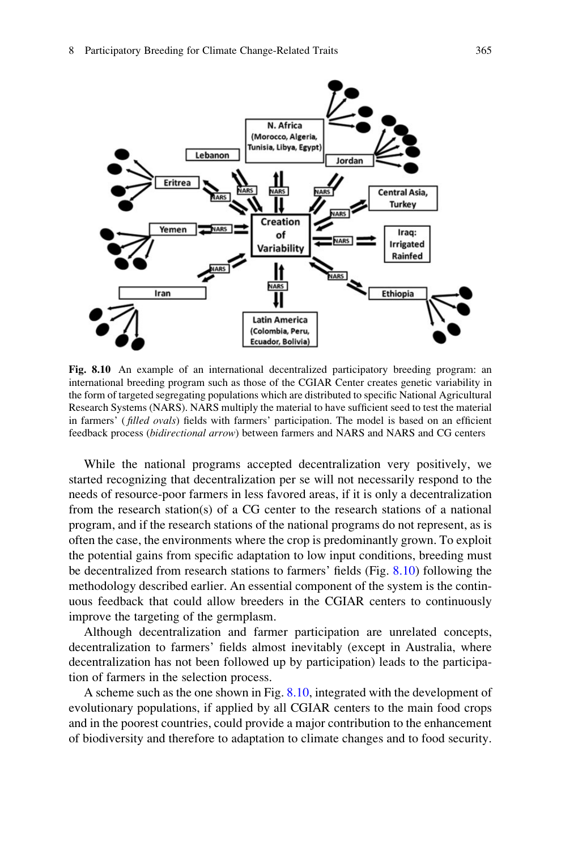

Fig. 8.10 An example of an international decentralized participatory breeding program: an international breeding program such as those of the CGIAR Center creates genetic variability in the form of targeted segregating populations which are distributed to specific National Agricultural Research Systems (NARS). NARS multiply the material to have sufficient seed to test the material in farmers' ( filled ovals) fields with farmers' participation. The model is based on an efficient feedback process (bidirectional arrow) between farmers and NARS and NARS and CG centers

While the national programs accepted decentralization very positively, we started recognizing that decentralization per se will not necessarily respond to the needs of resource-poor farmers in less favored areas, if it is only a decentralization from the research station(s) of a CG center to the research stations of a national program, and if the research stations of the national programs do not represent, as is often the case, the environments where the crop is predominantly grown. To exploit the potential gains from specific adaptation to low input conditions, breeding must be decentralized from research stations to farmers' fields (Fig. 8.10) following the methodology described earlier. An essential component of the system is the continuous feedback that could allow breeders in the CGIAR centers to continuously improve the targeting of the germplasm.

Although decentralization and farmer participation are unrelated concepts, decentralization to farmers' fields almost inevitably (except in Australia, where decentralization has not been followed up by participation) leads to the participation of farmers in the selection process.

A scheme such as the one shown in Fig. 8.10, integrated with the development of evolutionary populations, if applied by all CGIAR centers to the main food crops and in the poorest countries, could provide a major contribution to the enhancement of biodiversity and therefore to adaptation to climate changes and to food security.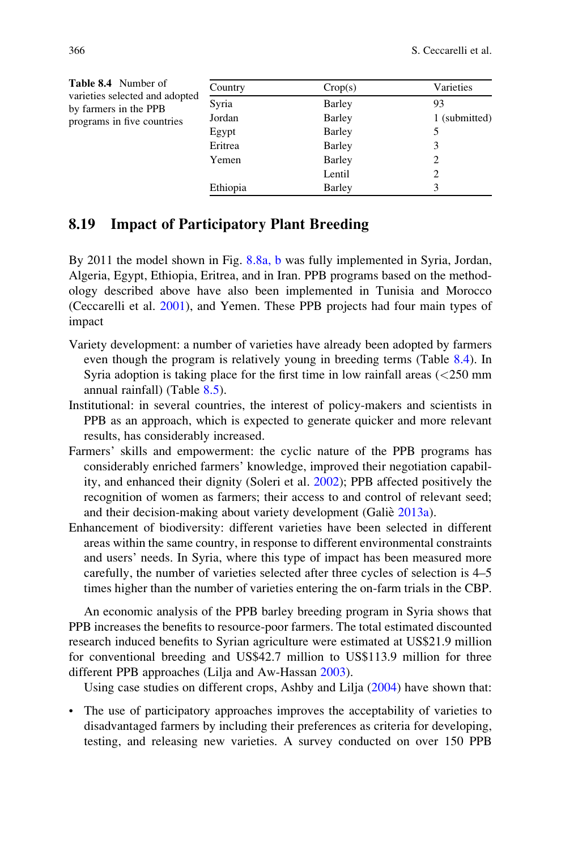<span id="page-35-0"></span>

| Table 8.4 Number of<br>varieties selected and adopted<br>by farmers in the PPB<br>programs in five countries | Country  | Crop(s) | Varieties     |
|--------------------------------------------------------------------------------------------------------------|----------|---------|---------------|
|                                                                                                              | Syria    | Barley  | 93            |
|                                                                                                              | Jordan   | Barley  | 1 (submitted) |
|                                                                                                              | Egypt    | Barley  |               |
|                                                                                                              | Eritrea  | Barley  | 3             |
|                                                                                                              | Yemen    | Barley  | 2             |
|                                                                                                              |          | Lentil  | 2             |
|                                                                                                              | Ethiopia | Barley  | 3             |

### 8.19 Impact of Participatory Plant Breeding

By 2011 the model shown in Fig. [8.8a, b](#page-24-0) was fully implemented in Syria, Jordan, Algeria, Egypt, Ethiopia, Eritrea, and in Iran. PPB programs based on the methodology described above have also been implemented in Tunisia and Morocco (Ceccarelli et al. [2001](#page-40-0)), and Yemen. These PPB projects had four main types of impact

- Variety development: a number of varieties have already been adopted by farmers even though the program is relatively young in breeding terms (Table 8.4). In Syria adoption is taking place for the first time in low rainfall areas  $\langle \langle 250 \rangle$  mm annual rainfall) (Table [8.5\)](#page-36-0).
- Institutional: in several countries, the interest of policy-makers and scientists in PPB as an approach, which is expected to generate quicker and more relevant results, has considerably increased.
- Farmers' skills and empowerment: the cyclic nature of the PPB programs has considerably enriched farmers' knowledge, improved their negotiation capability, and enhanced their dignity (Soleri et al. [2002\)](#page-44-0); PPB affected positively the recognition of women as farmers; their access to and control of relevant seed; and their decision-making about variety development (Galiè [2013a](#page-41-0)).
- Enhancement of biodiversity: different varieties have been selected in different areas within the same country, in response to different environmental constraints and users' needs. In Syria, where this type of impact has been measured more carefully, the number of varieties selected after three cycles of selection is 4–5 times higher than the number of varieties entering the on-farm trials in the CBP.

An economic analysis of the PPB barley breeding program in Syria shows that PPB increases the benefits to resource-poor farmers. The total estimated discounted research induced benefits to Syrian agriculture were estimated at US\$21.9 million for conventional breeding and US\$42.7 million to US\$113.9 million for three different PPB approaches (Lilja and Aw-Hassan [2003](#page-43-0)).

Using case studies on different crops, Ashby and Lilja [\(2004](#page-39-0)) have shown that:

• The use of participatory approaches improves the acceptability of varieties to disadvantaged farmers by including their preferences as criteria for developing, testing, and releasing new varieties. A survey conducted on over 150 PPB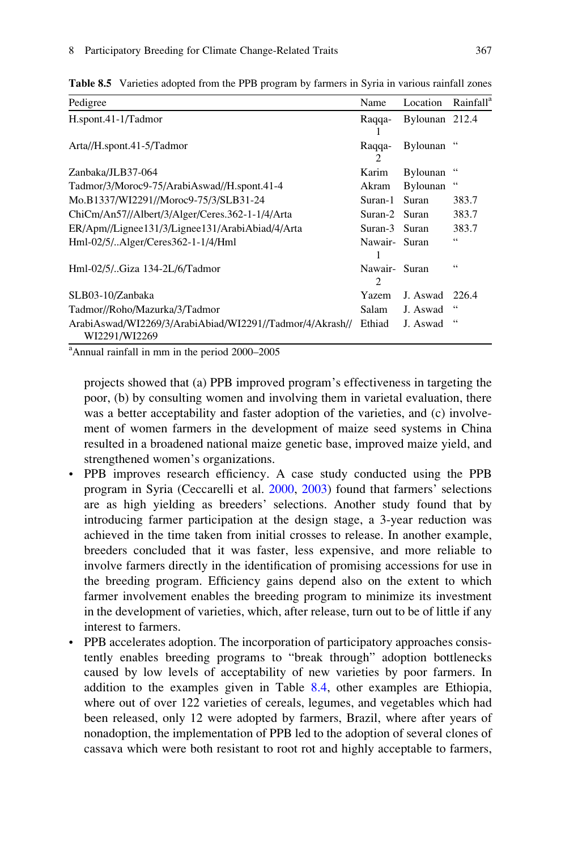| Pedigree                                                                  | Name                      | Location        | Rainfall <sup>a</sup> |
|---------------------------------------------------------------------------|---------------------------|-----------------|-----------------------|
| H.spont.41-1/Tadmor                                                       | Ragga-<br>1               | Bylounan 212.4  |                       |
| Arta//H.spont.41-5/Tadmor                                                 | Raqqa-<br>2               | <b>Bylounan</b> | 66                    |
| Zanbaka/JLB37-064                                                         | Karim                     | <b>Bylounan</b> | 66                    |
| Tadmor/3/Moroc9-75/ArabiAswad//H.spont.41-4                               | Akram                     | <b>Bylounan</b> | 66                    |
| Mo.B1337/WI2291//Moroc9-75/3/SLB31-24                                     | Suran-1                   | Suran           | 383.7                 |
| ChiCm/An57//Albert/3/Alger/Ceres.362-1-1/4/Arta                           | Suran-2 Suran             |                 | 383.7                 |
| ER/Apm//Lignee131/3/Lignee131/ArabiAbiad/4/Arta                           | Suran-3 Suran             |                 | 383.7                 |
| Hml-02/5/Alger/Ceres362-1-1/4/Hml                                         | Nawair- Suran             |                 | 66                    |
| Hml-02/5/Giza 134-2L/6/Tadmor                                             | Nawair-<br>$\overline{c}$ | Suran           | 66                    |
| SLB03-10/Zanbaka                                                          | Yazem                     | J. Aswad        | 226.4                 |
| Tadmor//Roho/Mazurka/3/Tadmor                                             | Salam                     | J. Aswad        | 66                    |
| ArabiAswad/WI2269/3/ArabiAbiad/WI2291//Tadmor/4/Akrash//<br>WI2291/WI2269 | Ethiad                    | J. Aswad        | 66                    |

<span id="page-36-0"></span>Table 8.5 Varieties adopted from the PPB program by farmers in Syria in various rainfall zones

a Annual rainfall in mm in the period 2000–2005

projects showed that (a) PPB improved program's effectiveness in targeting the poor, (b) by consulting women and involving them in varietal evaluation, there was a better acceptability and faster adoption of the varieties, and (c) involvement of women farmers in the development of maize seed systems in China resulted in a broadened national maize genetic base, improved maize yield, and strengthened women's organizations.

- PPB improves research efficiency. A case study conducted using the PPB program in Syria (Ceccarelli et al. [2000,](#page-40-0) [2003\)](#page-40-0) found that farmers' selections are as high yielding as breeders' selections. Another study found that by introducing farmer participation at the design stage, a 3-year reduction was achieved in the time taken from initial crosses to release. In another example, breeders concluded that it was faster, less expensive, and more reliable to involve farmers directly in the identification of promising accessions for use in the breeding program. Efficiency gains depend also on the extent to which farmer involvement enables the breeding program to minimize its investment in the development of varieties, which, after release, turn out to be of little if any interest to farmers.
- PPB accelerates adoption. The incorporation of participatory approaches consistently enables breeding programs to "break through" adoption bottlenecks caused by low levels of acceptability of new varieties by poor farmers. In addition to the examples given in Table [8.4](#page-35-0), other examples are Ethiopia, where out of over 122 varieties of cereals, legumes, and vegetables which had been released, only 12 were adopted by farmers, Brazil, where after years of nonadoption, the implementation of PPB led to the adoption of several clones of cassava which were both resistant to root rot and highly acceptable to farmers,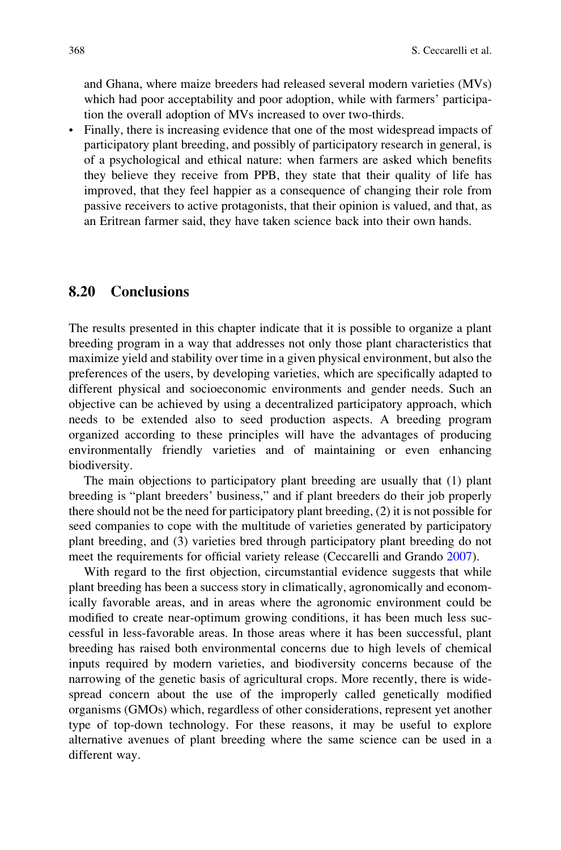and Ghana, where maize breeders had released several modern varieties (MVs) which had poor acceptability and poor adoption, while with farmers' participation the overall adoption of MVs increased to over two-thirds.

• Finally, there is increasing evidence that one of the most widespread impacts of participatory plant breeding, and possibly of participatory research in general, is of a psychological and ethical nature: when farmers are asked which benefits they believe they receive from PPB, they state that their quality of life has improved, that they feel happier as a consequence of changing their role from passive receivers to active protagonists, that their opinion is valued, and that, as an Eritrean farmer said, they have taken science back into their own hands.

#### 8.20 Conclusions

The results presented in this chapter indicate that it is possible to organize a plant breeding program in a way that addresses not only those plant characteristics that maximize yield and stability over time in a given physical environment, but also the preferences of the users, by developing varieties, which are specifically adapted to different physical and socioeconomic environments and gender needs. Such an objective can be achieved by using a decentralized participatory approach, which needs to be extended also to seed production aspects. A breeding program organized according to these principles will have the advantages of producing environmentally friendly varieties and of maintaining or even enhancing biodiversity.

The main objections to participatory plant breeding are usually that (1) plant breeding is "plant breeders' business," and if plant breeders do their job properly there should not be the need for participatory plant breeding, (2) it is not possible for seed companies to cope with the multitude of varieties generated by participatory plant breeding, and (3) varieties bred through participatory plant breeding do not meet the requirements for official variety release (Ceccarelli and Grando [2007](#page-40-0)).

With regard to the first objection, circumstantial evidence suggests that while plant breeding has been a success story in climatically, agronomically and economically favorable areas, and in areas where the agronomic environment could be modified to create near-optimum growing conditions, it has been much less successful in less-favorable areas. In those areas where it has been successful, plant breeding has raised both environmental concerns due to high levels of chemical inputs required by modern varieties, and biodiversity concerns because of the narrowing of the genetic basis of agricultural crops. More recently, there is widespread concern about the use of the improperly called genetically modified organisms (GMOs) which, regardless of other considerations, represent yet another type of top-down technology. For these reasons, it may be useful to explore alternative avenues of plant breeding where the same science can be used in a different way.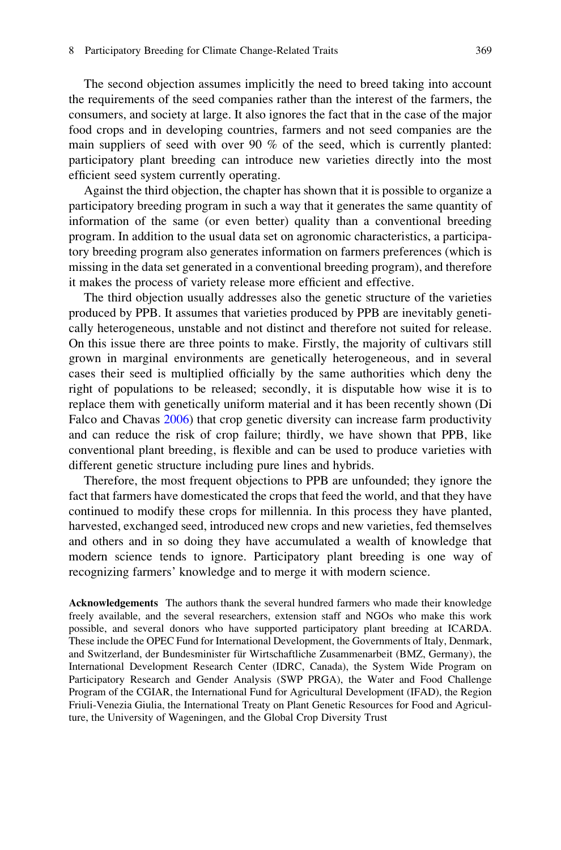The second objection assumes implicitly the need to breed taking into account the requirements of the seed companies rather than the interest of the farmers, the consumers, and society at large. It also ignores the fact that in the case of the major food crops and in developing countries, farmers and not seed companies are the main suppliers of seed with over 90 % of the seed, which is currently planted: participatory plant breeding can introduce new varieties directly into the most efficient seed system currently operating.

Against the third objection, the chapter has shown that it is possible to organize a participatory breeding program in such a way that it generates the same quantity of information of the same (or even better) quality than a conventional breeding program. In addition to the usual data set on agronomic characteristics, a participatory breeding program also generates information on farmers preferences (which is missing in the data set generated in a conventional breeding program), and therefore it makes the process of variety release more efficient and effective.

The third objection usually addresses also the genetic structure of the varieties produced by PPB. It assumes that varieties produced by PPB are inevitably genetically heterogeneous, unstable and not distinct and therefore not suited for release. On this issue there are three points to make. Firstly, the majority of cultivars still grown in marginal environments are genetically heterogeneous, and in several cases their seed is multiplied officially by the same authorities which deny the right of populations to be released; secondly, it is disputable how wise it is to replace them with genetically uniform material and it has been recently shown (Di Falco and Chavas [2006](#page-41-0)) that crop genetic diversity can increase farm productivity and can reduce the risk of crop failure; thirdly, we have shown that PPB, like conventional plant breeding, is flexible and can be used to produce varieties with different genetic structure including pure lines and hybrids.

Therefore, the most frequent objections to PPB are unfounded; they ignore the fact that farmers have domesticated the crops that feed the world, and that they have continued to modify these crops for millennia. In this process they have planted, harvested, exchanged seed, introduced new crops and new varieties, fed themselves and others and in so doing they have accumulated a wealth of knowledge that modern science tends to ignore. Participatory plant breeding is one way of recognizing farmers' knowledge and to merge it with modern science.

Acknowledgements The authors thank the several hundred farmers who made their knowledge freely available, and the several researchers, extension staff and NGOs who make this work possible, and several donors who have supported participatory plant breeding at ICARDA. These include the OPEC Fund for International Development, the Governments of Italy, Denmark, and Switzerland, der Bundesminister für Wirtschaftliche Zusammenarbeit (BMZ, Germany), the International Development Research Center (IDRC, Canada), the System Wide Program on Participatory Research and Gender Analysis (SWP PRGA), the Water and Food Challenge Program of the CGIAR, the International Fund for Agricultural Development (IFAD), the Region Friuli-Venezia Giulia, the International Treaty on Plant Genetic Resources for Food and Agriculture, the University of Wageningen, and the Global Crop Diversity Trust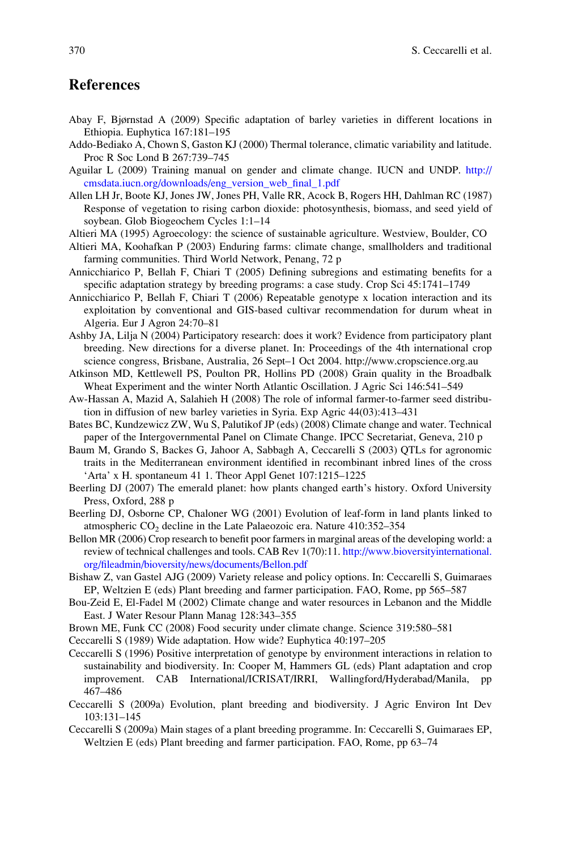### <span id="page-39-0"></span>References

- Abay F, Bjørnstad A (2009) Specific adaptation of barley varieties in different locations in Ethiopia. Euphytica 167:181–195
- Addo-Bediako A, Chown S, Gaston KJ (2000) Thermal tolerance, climatic variability and latitude. Proc R Soc Lond B 267:739–745
- Aguilar L (2009) Training manual on gender and climate change. IUCN and UNDP. [http://](http://cmsdata.iucn.org/downloads/eng_version_web_final_1.pdf) [cmsdata.iucn.org/downloads/eng\\_version\\_web\\_final\\_1.pdf](http://cmsdata.iucn.org/downloads/eng_version_web_final_1.pdf)
- Allen LH Jr, Boote KJ, Jones JW, Jones PH, Valle RR, Acock B, Rogers HH, Dahlman RC (1987) Response of vegetation to rising carbon dioxide: photosynthesis, biomass, and seed yield of soybean. Glob Biogeochem Cycles 1:1–14
- Altieri MA (1995) Agroecology: the science of sustainable agriculture. Westview, Boulder, CO
- Altieri MA, Koohafkan P (2003) Enduring farms: climate change, smallholders and traditional farming communities. Third World Network, Penang, 72 p
- Annicchiarico P, Bellah F, Chiari T (2005) Defining subregions and estimating benefits for a specific adaptation strategy by breeding programs: a case study. Crop Sci 45:1741–1749
- Annicchiarico P, Bellah F, Chiari T (2006) Repeatable genotype x location interaction and its exploitation by conventional and GIS-based cultivar recommendation for durum wheat in Algeria. Eur J Agron 24:70–81
- Ashby JA, Lilja N (2004) Participatory research: does it work? Evidence from participatory plant breeding. New directions for a diverse planet. In: Proceedings of the 4th international crop science congress, Brisbane, Australia, 26 Sept–1 Oct 2004. http://www.cropscience.org.au
- Atkinson MD, Kettlewell PS, Poulton PR, Hollins PD (2008) Grain quality in the Broadbalk Wheat Experiment and the winter North Atlantic Oscillation. J Agric Sci 146:541–549
- Aw-Hassan A, Mazid A, Salahieh H (2008) The role of informal farmer-to-farmer seed distribution in diffusion of new barley varieties in Syria. Exp Agric 44(03):413–431
- Bates BC, Kundzewicz ZW, Wu S, Palutikof JP (eds) (2008) Climate change and water. Technical paper of the Intergovernmental Panel on Climate Change. IPCC Secretariat, Geneva, 210 p
- Baum M, Grando S, Backes G, Jahoor A, Sabbagh A, Ceccarelli S (2003) QTLs for agronomic traits in the Mediterranean environment identified in recombinant inbred lines of the cross 'Arta' x H. spontaneum 41 1. Theor Appl Genet 107:1215–1225
- Beerling DJ (2007) The emerald planet: how plants changed earth's history. Oxford University Press, Oxford, 288 p
- Beerling DJ, Osborne CP, Chaloner WG (2001) Evolution of leaf-form in land plants linked to atmospheric  $CO<sub>2</sub>$  decline in the Late Palaeozoic era. Nature  $410:352-354$
- Bellon MR (2006) Crop research to benefit poor farmers in marginal areas of the developing world: a review of technical challenges and tools. CAB Rev 1(70):11. [http://www.bioversityinternational.](http://www.bioversityinternational.org/fileadmin/bioversity/news/documents/Bellon.pdf) [org/fileadmin/bioversity/news/documents/Bellon.pdf](http://www.bioversityinternational.org/fileadmin/bioversity/news/documents/Bellon.pdf)
- Bishaw Z, van Gastel AJG (2009) Variety release and policy options. In: Ceccarelli S, Guimaraes EP, Weltzien E (eds) Plant breeding and farmer participation. FAO, Rome, pp 565–587
- Bou-Zeid E, El-Fadel M (2002) Climate change and water resources in Lebanon and the Middle East. J Water Resour Plann Manag 128:343–355
- Brown ME, Funk CC (2008) Food security under climate change. Science 319:580–581
- Ceccarelli S (1989) Wide adaptation. How wide? Euphytica 40:197–205
- Ceccarelli S (1996) Positive interpretation of genotype by environment interactions in relation to sustainability and biodiversity. In: Cooper M, Hammers GL (eds) Plant adaptation and crop improvement. CAB International/ICRISAT/IRRI, Wallingford/Hyderabad/Manila, pp 467–486
- Ceccarelli S (2009a) Evolution, plant breeding and biodiversity. J Agric Environ Int Dev 103:131–145
- Ceccarelli S (2009a) Main stages of a plant breeding programme. In: Ceccarelli S, Guimaraes EP, Weltzien E (eds) Plant breeding and farmer participation. FAO, Rome, pp 63–74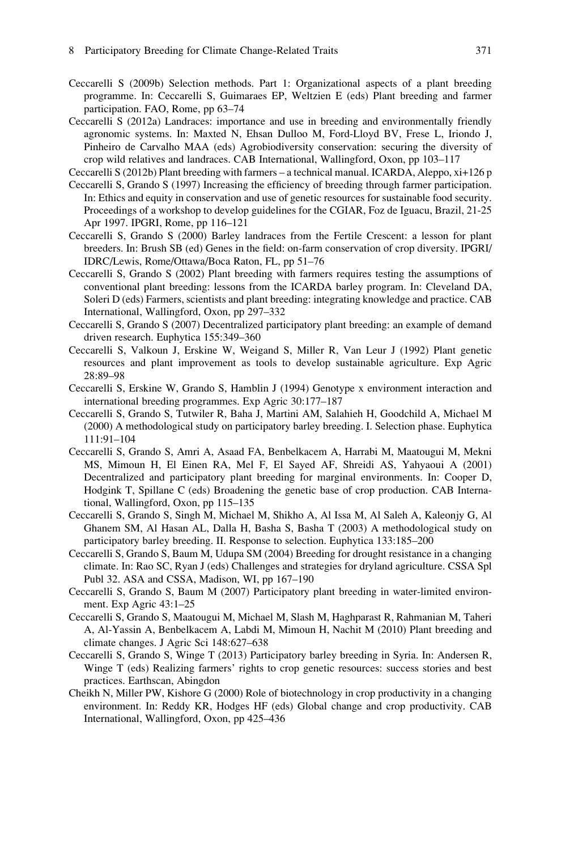- <span id="page-40-0"></span>Ceccarelli S (2009b) Selection methods. Part 1: Organizational aspects of a plant breeding programme. In: Ceccarelli S, Guimaraes EP, Weltzien E (eds) Plant breeding and farmer participation. FAO, Rome, pp 63–74
- Ceccarelli S (2012a) Landraces: importance and use in breeding and environmentally friendly agronomic systems. In: Maxted N, Ehsan Dulloo M, Ford-Lloyd BV, Frese L, Iriondo J, Pinheiro de Carvalho MAA (eds) Agrobiodiversity conservation: securing the diversity of crop wild relatives and landraces. CAB International, Wallingford, Oxon, pp 103–117

Ceccarelli S (2012b) Plant breeding with farmers – a technical manual. ICARDA, Aleppo, xi+126 p

- Ceccarelli S, Grando S (1997) Increasing the efficiency of breeding through farmer participation. In: Ethics and equity in conservation and use of genetic resources for sustainable food security. Proceedings of a workshop to develop guidelines for the CGIAR, Foz de Iguacu, Brazil, 21-25 Apr 1997. IPGRI, Rome, pp 116–121
- Ceccarelli S, Grando S (2000) Barley landraces from the Fertile Crescent: a lesson for plant breeders. In: Brush SB (ed) Genes in the field: on-farm conservation of crop diversity. IPGRI/ IDRC/Lewis, Rome/Ottawa/Boca Raton, FL, pp 51–76
- Ceccarelli S, Grando S (2002) Plant breeding with farmers requires testing the assumptions of conventional plant breeding: lessons from the ICARDA barley program. In: Cleveland DA, Soleri D (eds) Farmers, scientists and plant breeding: integrating knowledge and practice. CAB International, Wallingford, Oxon, pp 297–332
- Ceccarelli S, Grando S (2007) Decentralized participatory plant breeding: an example of demand driven research. Euphytica 155:349–360
- Ceccarelli S, Valkoun J, Erskine W, Weigand S, Miller R, Van Leur J (1992) Plant genetic resources and plant improvement as tools to develop sustainable agriculture. Exp Agric 28:89–98
- Ceccarelli S, Erskine W, Grando S, Hamblin J (1994) Genotype x environment interaction and international breeding programmes. Exp Agric 30:177–187
- Ceccarelli S, Grando S, Tutwiler R, Baha J, Martini AM, Salahieh H, Goodchild A, Michael M (2000) A methodological study on participatory barley breeding. I. Selection phase. Euphytica 111:91–104
- Ceccarelli S, Grando S, Amri A, Asaad FA, Benbelkacem A, Harrabi M, Maatougui M, Mekni MS, Mimoun H, El Einen RA, Mel F, El Sayed AF, Shreidi AS, Yahyaoui A (2001) Decentralized and participatory plant breeding for marginal environments. In: Cooper D, Hodgink T, Spillane C (eds) Broadening the genetic base of crop production. CAB International, Wallingford, Oxon, pp 115–135
- Ceccarelli S, Grando S, Singh M, Michael M, Shikho A, Al Issa M, Al Saleh A, Kaleonjy G, Al Ghanem SM, Al Hasan AL, Dalla H, Basha S, Basha T (2003) A methodological study on participatory barley breeding. II. Response to selection. Euphytica 133:185–200
- Ceccarelli S, Grando S, Baum M, Udupa SM (2004) Breeding for drought resistance in a changing climate. In: Rao SC, Ryan J (eds) Challenges and strategies for dryland agriculture. CSSA Spl Publ 32. ASA and CSSA, Madison, WI, pp 167–190
- Ceccarelli S, Grando S, Baum M (2007) Participatory plant breeding in water-limited environment. Exp Agric 43:1–25
- Ceccarelli S, Grando S, Maatougui M, Michael M, Slash M, Haghparast R, Rahmanian M, Taheri A, Al-Yassin A, Benbelkacem A, Labdi M, Mimoun H, Nachit M (2010) Plant breeding and climate changes. J Agric Sci 148:627–638
- Ceccarelli S, Grando S, Winge T (2013) Participatory barley breeding in Syria. In: Andersen R, Winge T (eds) Realizing farmers' rights to crop genetic resources: success stories and best practices. Earthscan, Abingdon
- Cheikh N, Miller PW, Kishore G (2000) Role of biotechnology in crop productivity in a changing environment. In: Reddy KR, Hodges HF (eds) Global change and crop productivity. CAB International, Wallingford, Oxon, pp 425–436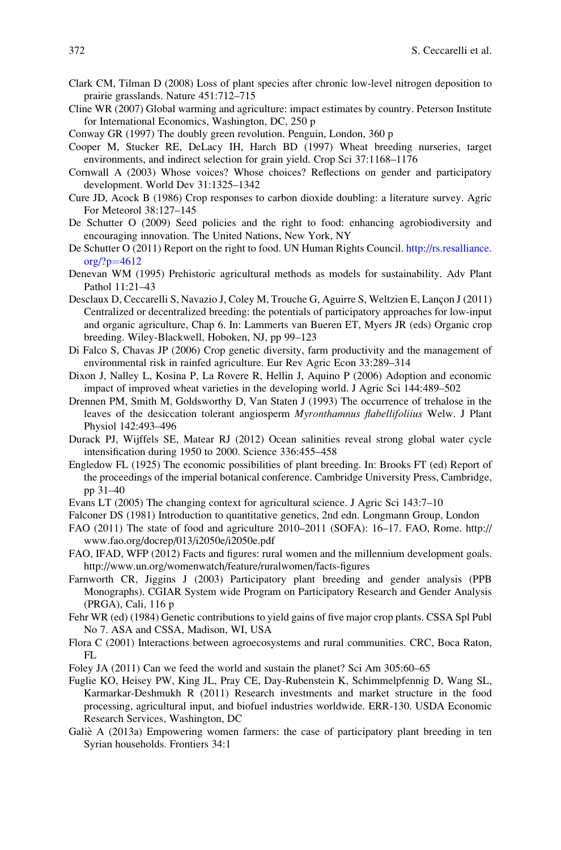- <span id="page-41-0"></span>Clark CM, Tilman D (2008) Loss of plant species after chronic low-level nitrogen deposition to prairie grasslands. Nature 451:712–715
- Cline WR (2007) Global warming and agriculture: impact estimates by country. Peterson Institute for International Economics, Washington, DC, 250 p
- Conway GR (1997) The doubly green revolution. Penguin, London, 360 p
- Cooper M, Stucker RE, DeLacy IH, Harch BD (1997) Wheat breeding nurseries, target environments, and indirect selection for grain yield. Crop Sci 37:1168–1176
- Cornwall A (2003) Whose voices? Whose choices? Reflections on gender and participatory development. World Dev 31:1325–1342
- Cure JD, Acock B (1986) Crop responses to carbon dioxide doubling: a literature survey. Agric For Meteorol 38:127–145
- De Schutter O (2009) Seed policies and the right to food: enhancing agrobiodiversity and encouraging innovation. The United Nations, New York, NY
- De Schutter O (2011) Report on the right to food. UN Human Rights Council. [http://rs.resalliance.](http://rs.resalliance.org/?p=4612)  $org$ /?p=[4612](http://rs.resalliance.org/?p=4612)
- Denevan WM (1995) Prehistoric agricultural methods as models for sustainability. Adv Plant Pathol 11:21–43
- Desclaux D, Ceccarelli S, Navazio J, Coley M, Trouche G, Aguirre S, Weltzien E, Lancon J (2011) Centralized or decentralized breeding: the potentials of participatory approaches for low-input and organic agriculture, Chap 6. In: Lammerts van Bueren ET, Myers JR (eds) Organic crop breeding. Wiley-Blackwell, Hoboken, NJ, pp 99–123
- Di Falco S, Chavas JP (2006) Crop genetic diversity, farm productivity and the management of environmental risk in rainfed agriculture. Eur Rev Agric Econ 33:289–314
- Dixon J, Nalley L, Kosina P, La Rovere R, Hellin J, Aquino P (2006) Adoption and economic impact of improved wheat varieties in the developing world. J Agric Sci 144:489–502
- Drennen PM, Smith M, Goldsworthy D, Van Staten J (1993) The occurrence of trehalose in the leaves of the desiccation tolerant angiosperm *Myronthamnus flabellifoliius* Welw. J Plant Physiol 142:493–496
- Durack PJ, Wijffels SE, Matear RJ (2012) Ocean salinities reveal strong global water cycle intensification during 1950 to 2000. Science 336:455–458
- Engledow FL (1925) The economic possibilities of plant breeding. In: Brooks FT (ed) Report of the proceedings of the imperial botanical conference. Cambridge University Press, Cambridge, pp 31–40
- Evans LT (2005) The changing context for agricultural science. J Agric Sci 143:7–10
- Falconer DS (1981) Introduction to quantitative genetics, 2nd edn. Longmann Group, London
- FAO (2011) The state of food and agriculture 2010–2011 (SOFA): 16–17. FAO, Rome. http:// www.fao.org/docrep/013/i2050e/i2050e.pdf
- FAO, IFAD, WFP (2012) Facts and figures: rural women and the millennium development goals. http://www.un.org/womenwatch/feature/ruralwomen/facts-figures
- Farnworth CR, Jiggins J (2003) Participatory plant breeding and gender analysis (PPB Monographs). CGIAR System wide Program on Participatory Research and Gender Analysis (PRGA), Cali, 116 p
- Fehr WR (ed) (1984) Genetic contributions to yield gains of five major crop plants. CSSA Spl Publ No 7. ASA and CSSA, Madison, WI, USA
- Flora C (2001) Interactions between agroecosystems and rural communities. CRC, Boca Raton, FL
- Foley JA (2011) Can we feed the world and sustain the planet? Sci Am 305:60–65
- Fuglie KO, Heisey PW, King JL, Pray CE, Day-Rubenstein K, Schimmelpfennig D, Wang SL, Karmarkar-Deshmukh R (2011) Research investments and market structure in the food processing, agricultural input, and biofuel industries worldwide. ERR-130. USDA Economic Research Services, Washington, DC
- Galiè A (2013a) Empowering women farmers: the case of participatory plant breeding in ten Syrian households. Frontiers 34:1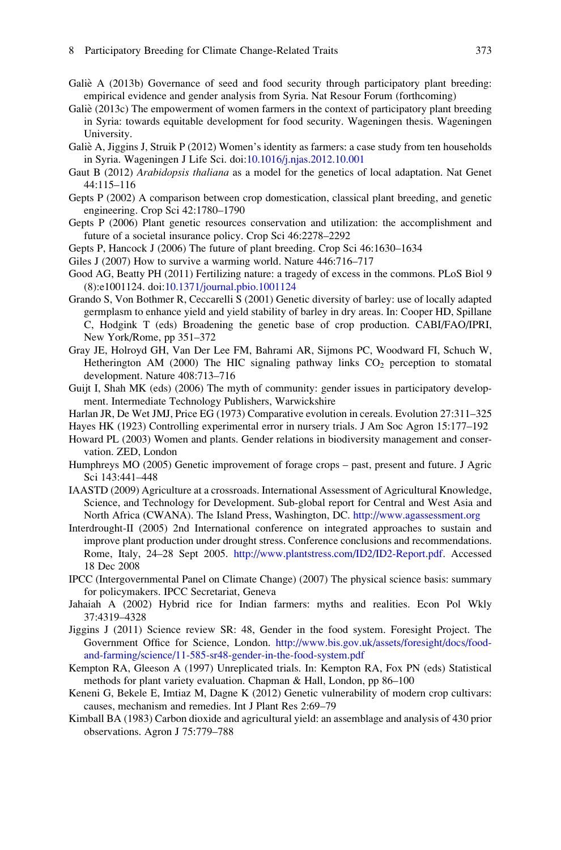- <span id="page-42-0"></span>Galiè A (2013b) Governance of seed and food security through participatory plant breeding: empirical evidence and gender analysis from Syria. Nat Resour Forum (forthcoming)
- Galiè (2013c) The empowerment of women farmers in the context of participatory plant breeding in Syria: towards equitable development for food security. Wageningen thesis. Wageningen University.
- Galiè A, Jiggins J, Struik P (2012) Women's identity as farmers: a case study from ten households in Syria. Wageningen J Life Sci. doi[:10.1016/j.njas.2012.10.001](http://dx.doi.org/10.1016/j.njas.2012.10.001)
- Gaut B (2012) Arabidopsis thaliana as a model for the genetics of local adaptation. Nat Genet 44:115–116
- Gepts P (2002) A comparison between crop domestication, classical plant breeding, and genetic engineering. Crop Sci 42:1780–1790
- Gepts P (2006) Plant genetic resources conservation and utilization: the accomplishment and future of a societal insurance policy. Crop Sci 46:2278–2292
- Gepts P, Hancock J (2006) The future of plant breeding. Crop Sci 46:1630–1634
- Giles J (2007) How to survive a warming world. Nature 446:716–717
- Good AG, Beatty PH (2011) Fertilizing nature: a tragedy of excess in the commons. PLoS Biol 9 (8):e1001124. doi[:10.1371/journal.pbio.1001124](http://dx.doi.org/10.1371/journal.pbio.1001124)
- Grando S, Von Bothmer R, Ceccarelli S (2001) Genetic diversity of barley: use of locally adapted germplasm to enhance yield and yield stability of barley in dry areas. In: Cooper HD, Spillane C, Hodgink T (eds) Broadening the genetic base of crop production. CABI/FAO/IPRI, New York/Rome, pp 351–372
- Gray JE, Holroyd GH, Van Der Lee FM, Bahrami AR, Sijmons PC, Woodward FI, Schuch W, Hetherington AM (2000) The HIC signaling pathway links  $CO<sub>2</sub>$  perception to stomatal development. Nature 408:713–716
- Guijt I, Shah MK (eds) (2006) The myth of community: gender issues in participatory development. Intermediate Technology Publishers, Warwickshire
- Harlan JR, De Wet JMJ, Price EG (1973) Comparative evolution in cereals. Evolution 27:311–325
- Hayes HK (1923) Controlling experimental error in nursery trials. J Am Soc Agron 15:177–192
- Howard PL (2003) Women and plants. Gender relations in biodiversity management and conservation. ZED, London
- Humphreys MO (2005) Genetic improvement of forage crops past, present and future. J Agric Sci 143:441–448
- IAASTD (2009) Agriculture at a crossroads. International Assessment of Agricultural Knowledge, Science, and Technology for Development. Sub-global report for Central and West Asia and North Africa (CWANA). The Island Press, Washington, DC. [http://www.agassessment.org](http://www.agassessment.org/)
- Interdrought-II (2005) 2nd International conference on integrated approaches to sustain and improve plant production under drought stress. Conference conclusions and recommendations. Rome, Italy, 24–28 Sept 2005. [http://www.plantstress.com/ID2/ID2-Report.pdf.](http://www.plantstress.com/ID2/ID2-Report.pdf) Accessed 18 Dec 2008
- IPCC (Intergovernmental Panel on Climate Change) (2007) The physical science basis: summary for policymakers. IPCC Secretariat, Geneva
- Jahaiah A (2002) Hybrid rice for Indian farmers: myths and realities. Econ Pol Wkly 37:4319–4328
- Jiggins J (2011) Science review SR: 48, Gender in the food system. Foresight Project. The Government Office for Science, London. [http://www.bis.gov.uk/assets/foresight/docs/food](http://www.bis.gov.uk/assets/foresight/docs/food-and-farming/science/11-585-sr48-gender-in-the-food-system.pdf)[and-farming/science/11-585-sr48-gender-in-the-food-system.pdf](http://www.bis.gov.uk/assets/foresight/docs/food-and-farming/science/11-585-sr48-gender-in-the-food-system.pdf)
- Kempton RA, Gleeson A (1997) Unreplicated trials. In: Kempton RA, Fox PN (eds) Statistical methods for plant variety evaluation. Chapman & Hall, London, pp 86–100
- Keneni G, Bekele E, Imtiaz M, Dagne K (2012) Genetic vulnerability of modern crop cultivars: causes, mechanism and remedies. Int J Plant Res 2:69–79
- Kimball BA (1983) Carbon dioxide and agricultural yield: an assemblage and analysis of 430 prior observations. Agron J 75:779–788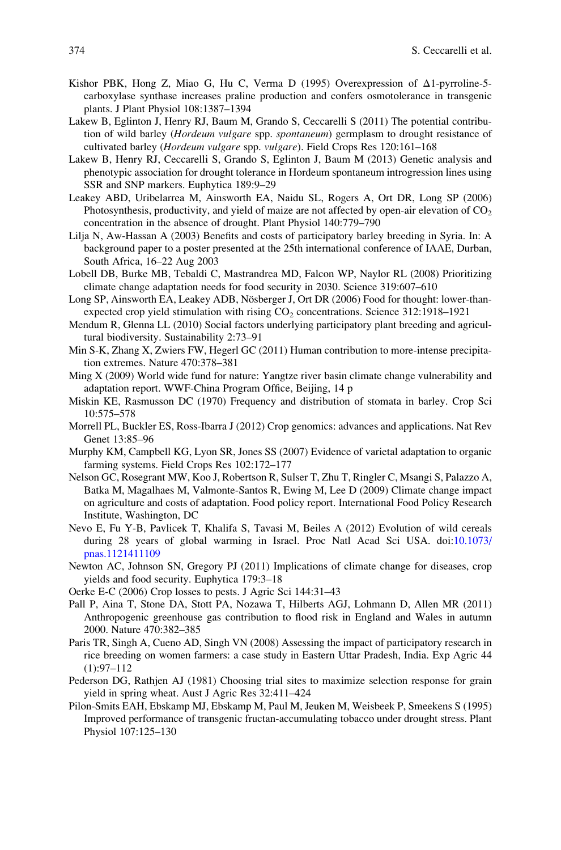- <span id="page-43-0"></span>Kishor PBK, Hong Z, Miao G, Hu C, Verma D (1995) Overexpression of Δ1-pyrroline-5 carboxylase synthase increases praline production and confers osmotolerance in transgenic plants. J Plant Physiol 108:1387–1394
- Lakew B, Eglinton J, Henry RJ, Baum M, Grando S, Ceccarelli S (2011) The potential contribution of wild barley (*Hordeum vulgare spp. spontaneum*) germplasm to drought resistance of cultivated barley (Hordeum vulgare spp. vulgare). Field Crops Res 120:161-168
- Lakew B, Henry RJ, Ceccarelli S, Grando S, Eglinton J, Baum M (2013) Genetic analysis and phenotypic association for drought tolerance in Hordeum spontaneum introgression lines using SSR and SNP markers. Euphytica 189:9–29
- Leakey ABD, Uribelarrea M, Ainsworth EA, Naidu SL, Rogers A, Ort DR, Long SP (2006) Photosynthesis, productivity, and yield of maize are not affected by open-air elevation of  $CO<sub>2</sub>$ concentration in the absence of drought. Plant Physiol 140:779–790
- Lilja N, Aw-Hassan A (2003) Benefits and costs of participatory barley breeding in Syria. In: A background paper to a poster presented at the 25th international conference of IAAE, Durban, South Africa, 16–22 Aug 2003
- Lobell DB, Burke MB, Tebaldi C, Mastrandrea MD, Falcon WP, Naylor RL (2008) Prioritizing climate change adaptation needs for food security in 2030. Science 319:607–610
- Long SP, Ainsworth EA, Leakey ADB, Nösberger J, Ort DR (2006) Food for thought: lower-thanexpected crop yield stimulation with rising  $CO<sub>2</sub>$  concentrations. Science 312:1918–1921
- Mendum R, Glenna LL (2010) Social factors underlying participatory plant breeding and agricultural biodiversity. Sustainability 2:73–91
- Min S-K, Zhang X, Zwiers FW, Hegerl GC (2011) Human contribution to more-intense precipitation extremes. Nature 470:378–381
- Ming X (2009) World wide fund for nature: Yangtze river basin climate change vulnerability and adaptation report. WWF-China Program Office, Beijing, 14 p
- Miskin KE, Rasmusson DC (1970) Frequency and distribution of stomata in barley. Crop Sci 10:575–578
- Morrell PL, Buckler ES, Ross-Ibarra J (2012) Crop genomics: advances and applications. Nat Rev Genet 13:85–96
- Murphy KM, Campbell KG, Lyon SR, Jones SS (2007) Evidence of varietal adaptation to organic farming systems. Field Crops Res 102:172–177
- Nelson GC, Rosegrant MW, Koo J, Robertson R, Sulser T, Zhu T, Ringler C, Msangi S, Palazzo A, Batka M, Magalhaes M, Valmonte-Santos R, Ewing M, Lee D (2009) Climate change impact on agriculture and costs of adaptation. Food policy report. International Food Policy Research Institute, Washington, DC
- Nevo E, Fu Y-B, Pavlicek T, Khalifa S, Tavasi M, Beiles A (2012) Evolution of wild cereals during 28 years of global warming in Israel. Proc Natl Acad Sci USA. doi:[10.1073/](http://dx.doi.org/10.1073/pnas.1121411109) [pnas.1121411109](http://dx.doi.org/10.1073/pnas.1121411109)
- Newton AC, Johnson SN, Gregory PJ (2011) Implications of climate change for diseases, crop yields and food security. Euphytica 179:3–18
- Oerke E-C (2006) Crop losses to pests. J Agric Sci 144:31–43
- Pall P, Aina T, Stone DA, Stott PA, Nozawa T, Hilberts AGJ, Lohmann D, Allen MR (2011) Anthropogenic greenhouse gas contribution to flood risk in England and Wales in autumn 2000. Nature 470:382–385
- Paris TR, Singh A, Cueno AD, Singh VN (2008) Assessing the impact of participatory research in rice breeding on women farmers: a case study in Eastern Uttar Pradesh, India. Exp Agric 44 (1):97–112
- Pederson DG, Rathjen AJ (1981) Choosing trial sites to maximize selection response for grain yield in spring wheat. Aust J Agric Res 32:411–424
- Pilon-Smits EAH, Ebskamp MJ, Ebskamp M, Paul M, Jeuken M, Weisbeek P, Smeekens S (1995) Improved performance of transgenic fructan-accumulating tobacco under drought stress. Plant Physiol 107:125–130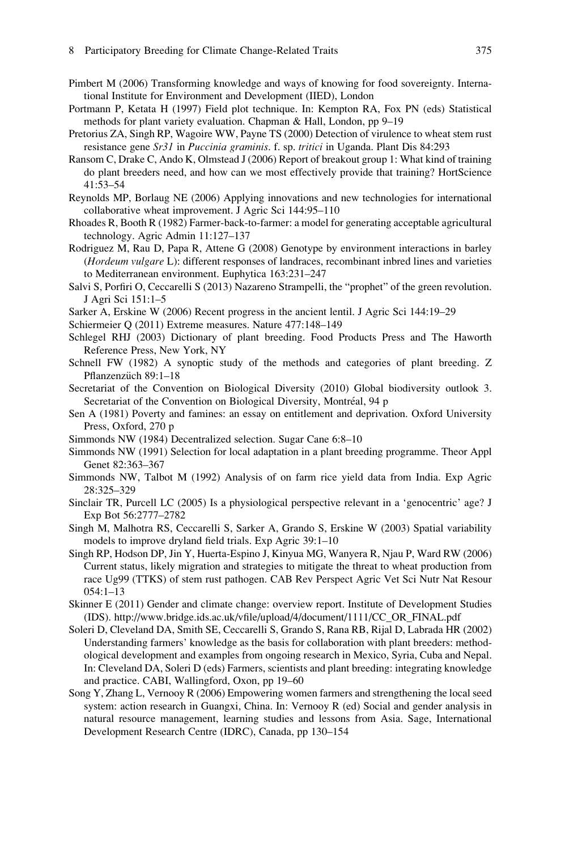- <span id="page-44-0"></span>Pimbert M (2006) Transforming knowledge and ways of knowing for food sovereignty. International Institute for Environment and Development (IIED), London
- Portmann P, Ketata H (1997) Field plot technique. In: Kempton RA, Fox PN (eds) Statistical methods for plant variety evaluation. Chapman & Hall, London, pp 9–19
- Pretorius ZA, Singh RP, Wagoire WW, Payne TS (2000) Detection of virulence to wheat stem rust resistance gene Sr31 in Puccinia graminis. f. sp. tritici in Uganda. Plant Dis 84:293
- Ransom C, Drake C, Ando K, Olmstead J (2006) Report of breakout group 1: What kind of training do plant breeders need, and how can we most effectively provide that training? HortScience 41:53–54
- Reynolds MP, Borlaug NE (2006) Applying innovations and new technologies for international collaborative wheat improvement. J Agric Sci 144:95–110
- Rhoades R, Booth R (1982) Farmer-back-to-farmer: a model for generating acceptable agricultural technology. Agric Admin 11:127–137
- Rodriguez M, Rau D, Papa R, Attene G (2008) Genotype by environment interactions in barley (Hordeum vulgare L): different responses of landraces, recombinant inbred lines and varieties to Mediterranean environment. Euphytica 163:231–247
- Salvi S, Porfiri O, Ceccarelli S (2013) Nazareno Strampelli, the "prophet" of the green revolution. J Agri Sci 151:1–5
- Sarker A, Erskine W (2006) Recent progress in the ancient lentil. J Agric Sci 144:19–29
- Schiermeier Q (2011) Extreme measures. Nature 477:148–149
- Schlegel RHJ (2003) Dictionary of plant breeding. Food Products Press and The Haworth Reference Press, New York, NY
- Schnell FW (1982) A synoptic study of the methods and categories of plant breeding. Z Pflanzenzüch 89:1-18
- Secretariat of the Convention on Biological Diversity (2010) Global biodiversity outlook 3. Secretariat of the Convention on Biological Diversity, Montréal, 94 p
- Sen A (1981) Poverty and famines: an essay on entitlement and deprivation. Oxford University Press, Oxford, 270 p
- Simmonds NW (1984) Decentralized selection. Sugar Cane 6:8–10
- Simmonds NW (1991) Selection for local adaptation in a plant breeding programme. Theor Appl Genet 82:363–367
- Simmonds NW, Talbot M (1992) Analysis of on farm rice yield data from India. Exp Agric 28:325–329
- Sinclair TR, Purcell LC (2005) Is a physiological perspective relevant in a 'genocentric' age? J Exp Bot 56:2777–2782
- Singh M, Malhotra RS, Ceccarelli S, Sarker A, Grando S, Erskine W (2003) Spatial variability models to improve dryland field trials. Exp Agric 39:1–10
- Singh RP, Hodson DP, Jin Y, Huerta-Espino J, Kinyua MG, Wanyera R, Njau P, Ward RW (2006) Current status, likely migration and strategies to mitigate the threat to wheat production from race Ug99 (TTKS) of stem rust pathogen. CAB Rev Perspect Agric Vet Sci Nutr Nat Resour 054:1–13
- Skinner E (2011) Gender and climate change: overview report. Institute of Development Studies (IDS). http://www.bridge.ids.ac.uk/vfile/upload/4/document/1111/CC\_OR\_FINAL.pdf
- Soleri D, Cleveland DA, Smith SE, Ceccarelli S, Grando S, Rana RB, Rijal D, Labrada HR (2002) Understanding farmers' knowledge as the basis for collaboration with plant breeders: methodological development and examples from ongoing research in Mexico, Syria, Cuba and Nepal. In: Cleveland DA, Soleri D (eds) Farmers, scientists and plant breeding: integrating knowledge and practice. CABI, Wallingford, Oxon, pp 19–60
- Song Y, Zhang L, Vernooy R (2006) Empowering women farmers and strengthening the local seed system: action research in Guangxi, China. In: Vernooy R (ed) Social and gender analysis in natural resource management, learning studies and lessons from Asia. Sage, International Development Research Centre (IDRC), Canada, pp 130–154